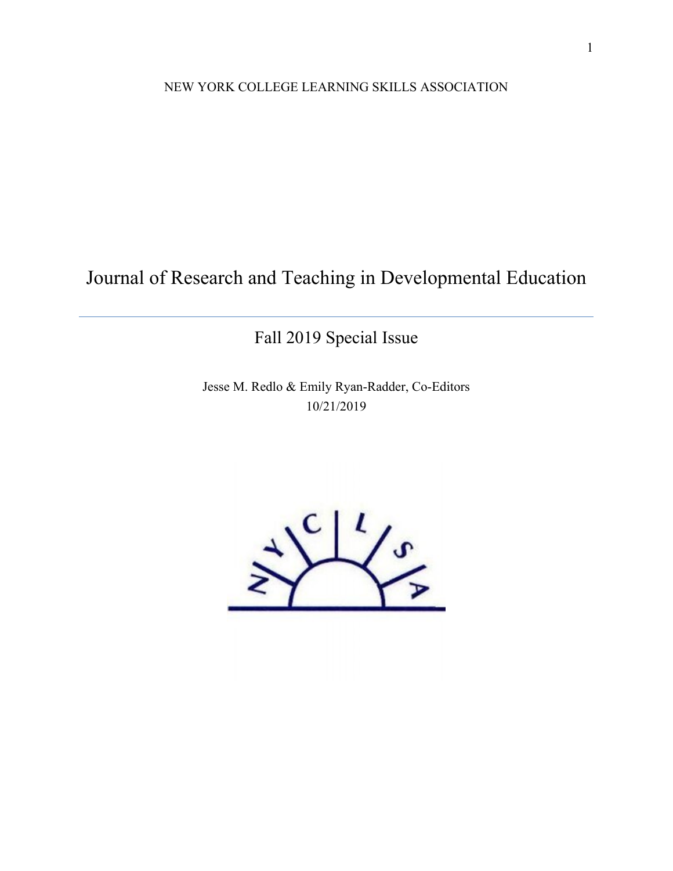NEW YORK COLLEGE LEARNING SKILLS ASSOCIATION

Journal of Research and Teaching in Developmental Education

Fall 2019 Special Issue

Jesse M. Redlo & Emily Ryan-Radder, Co-Editors 10/21/2019

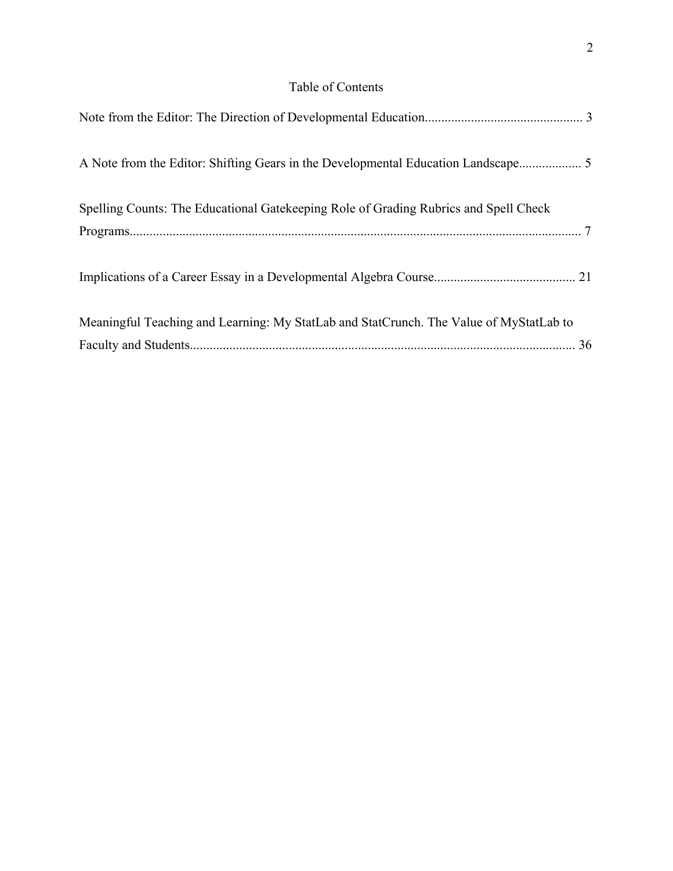# Table of Contents

| A Note from the Editor: Shifting Gears in the Developmental Education Landscape 5      |  |
|----------------------------------------------------------------------------------------|--|
| Spelling Counts: The Educational Gatekeeping Role of Grading Rubrics and Spell Check   |  |
|                                                                                        |  |
| Meaningful Teaching and Learning: My StatLab and StatCrunch. The Value of MyStatLab to |  |
|                                                                                        |  |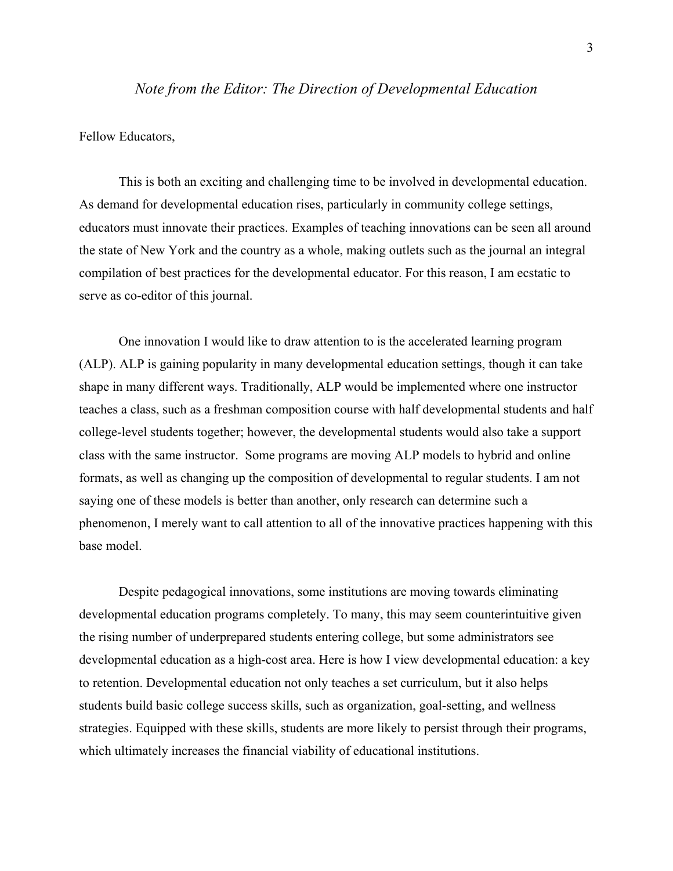# *Note from the Editor: The Direction of Developmental Education*

Fellow Educators,

This is both an exciting and challenging time to be involved in developmental education. As demand for developmental education rises, particularly in community college settings, educators must innovate their practices. Examples of teaching innovations can be seen all around the state of New York and the country as a whole, making outlets such as the journal an integral compilation of best practices for the developmental educator. For this reason, I am ecstatic to serve as co-editor of this journal.

One innovation I would like to draw attention to is the accelerated learning program (ALP). ALP is gaining popularity in many developmental education settings, though it can take shape in many different ways. Traditionally, ALP would be implemented where one instructor teaches a class, such as a freshman composition course with half developmental students and half college-level students together; however, the developmental students would also take a support class with the same instructor. Some programs are moving ALP models to hybrid and online formats, as well as changing up the composition of developmental to regular students. I am not saying one of these models is better than another, only research can determine such a phenomenon, I merely want to call attention to all of the innovative practices happening with this base model.

Despite pedagogical innovations, some institutions are moving towards eliminating developmental education programs completely. To many, this may seem counterintuitive given the rising number of underprepared students entering college, but some administrators see developmental education as a high-cost area. Here is how I view developmental education: a key to retention. Developmental education not only teaches a set curriculum, but it also helps students build basic college success skills, such as organization, goal-setting, and wellness strategies. Equipped with these skills, students are more likely to persist through their programs, which ultimately increases the financial viability of educational institutions.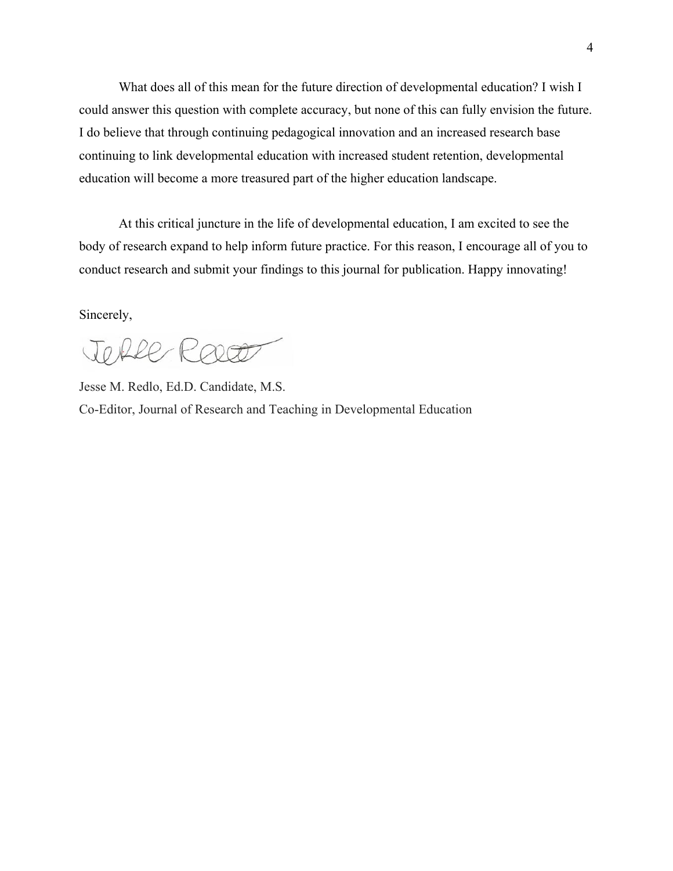What does all of this mean for the future direction of developmental education? I wish I could answer this question with complete accuracy, but none of this can fully envision the future. I do believe that through continuing pedagogical innovation and an increased research base continuing to link developmental education with increased student retention, developmental education will become a more treasured part of the higher education landscape.

At this critical juncture in the life of developmental education, I am excited to see the body of research expand to help inform future practice. For this reason, I encourage all of you to conduct research and submit your findings to this journal for publication. Happy innovating!

Sincerely,

TORRE ROOF

Jesse M. Redlo, Ed.D. Candidate, M.S. Co-Editor, Journal of Research and Teaching in Developmental Education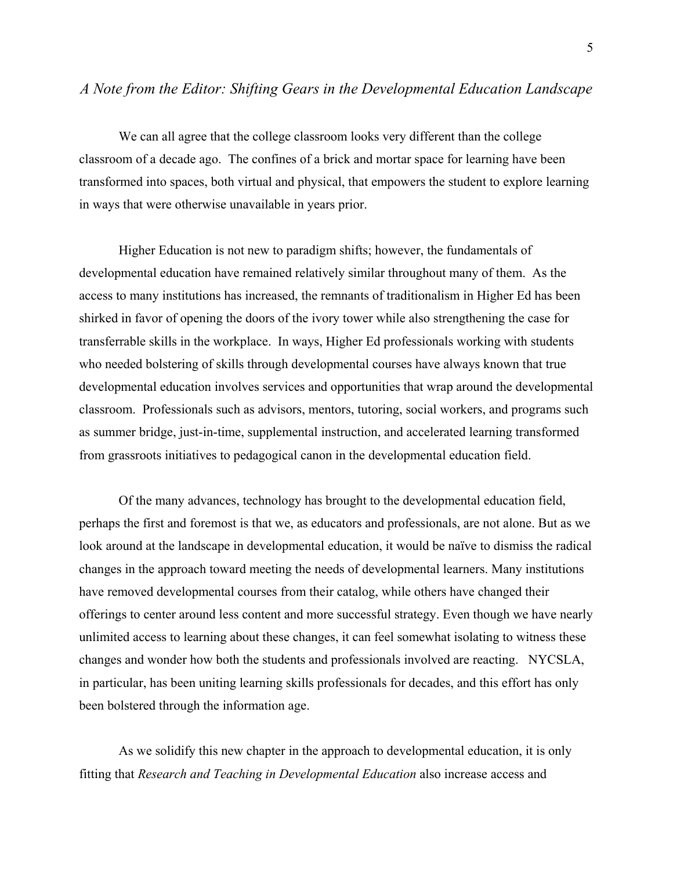# *A Note from the Editor: Shifting Gears in the Developmental Education Landscape*

We can all agree that the college classroom looks very different than the college classroom of a decade ago. The confines of a brick and mortar space for learning have been transformed into spaces, both virtual and physical, that empowers the student to explore learning in ways that were otherwise unavailable in years prior.

Higher Education is not new to paradigm shifts; however, the fundamentals of developmental education have remained relatively similar throughout many of them. As the access to many institutions has increased, the remnants of traditionalism in Higher Ed has been shirked in favor of opening the doors of the ivory tower while also strengthening the case for transferrable skills in the workplace. In ways, Higher Ed professionals working with students who needed bolstering of skills through developmental courses have always known that true developmental education involves services and opportunities that wrap around the developmental classroom. Professionals such as advisors, mentors, tutoring, social workers, and programs such as summer bridge, just-in-time, supplemental instruction, and accelerated learning transformed from grassroots initiatives to pedagogical canon in the developmental education field.

Of the many advances, technology has brought to the developmental education field, perhaps the first and foremost is that we, as educators and professionals, are not alone. But as we look around at the landscape in developmental education, it would be naïve to dismiss the radical changes in the approach toward meeting the needs of developmental learners. Many institutions have removed developmental courses from their catalog, while others have changed their offerings to center around less content and more successful strategy. Even though we have nearly unlimited access to learning about these changes, it can feel somewhat isolating to witness these changes and wonder how both the students and professionals involved are reacting. NYCSLA, in particular, has been uniting learning skills professionals for decades, and this effort has only been bolstered through the information age.

As we solidify this new chapter in the approach to developmental education, it is only fitting that *Research and Teaching in Developmental Education* also increase access and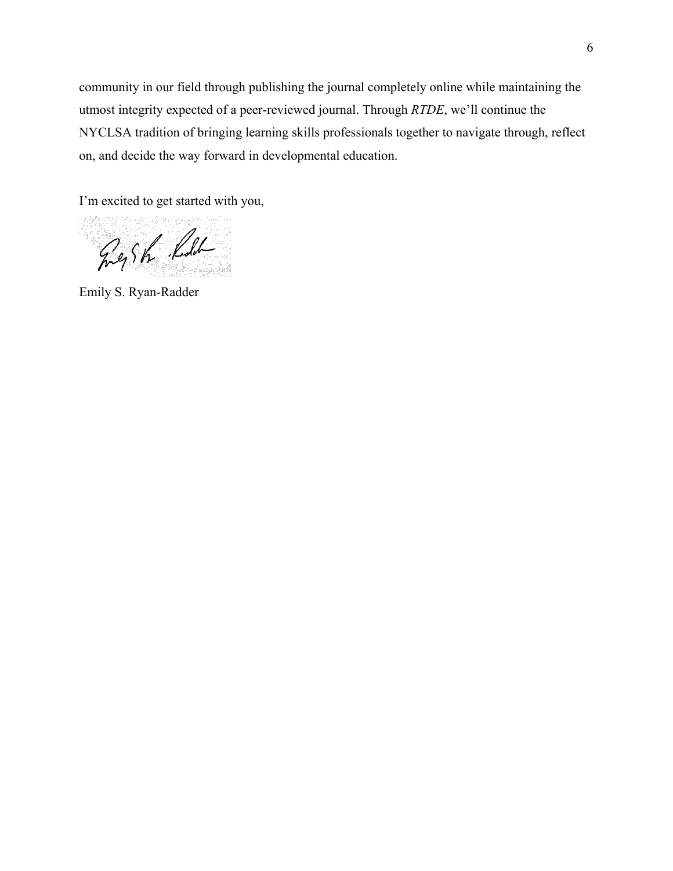community in our field through publishing the journal completely online while maintaining the utmost integrity expected of a peer-reviewed journal. Through *RTDE*, we'll continue the NYCLSA tradition of bringing learning skills professionals together to navigate through, reflect on, and decide the way forward in developmental education.

I'm excited to get started with you,

Gegsh Kell

Emily S. Ryan-Radder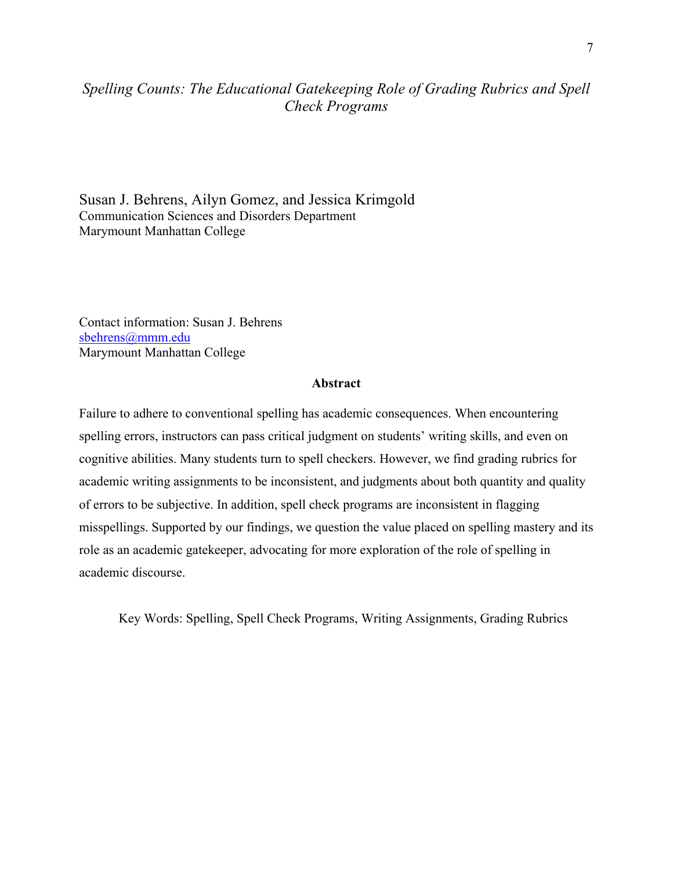# *Spelling Counts: The Educational Gatekeeping Role of Grading Rubrics and Spell Check Programs*

Susan J. Behrens, Ailyn Gomez, and Jessica Krimgold Communication Sciences and Disorders Department Marymount Manhattan College

Contact information: Susan J. Behrens [sbehrens@mmm.edu](mailto:sbehrens@mmm.edu) Marymount Manhattan College

### **Abstract**

Failure to adhere to conventional spelling has academic consequences. When encountering spelling errors, instructors can pass critical judgment on students' writing skills, and even on cognitive abilities. Many students turn to spell checkers. However, we find grading rubrics for academic writing assignments to be inconsistent, and judgments about both quantity and quality of errors to be subjective. In addition, spell check programs are inconsistent in flagging misspellings. Supported by our findings, we question the value placed on spelling mastery and its role as an academic gatekeeper, advocating for more exploration of the role of spelling in academic discourse.

Key Words: Spelling, Spell Check Programs, Writing Assignments, Grading Rubrics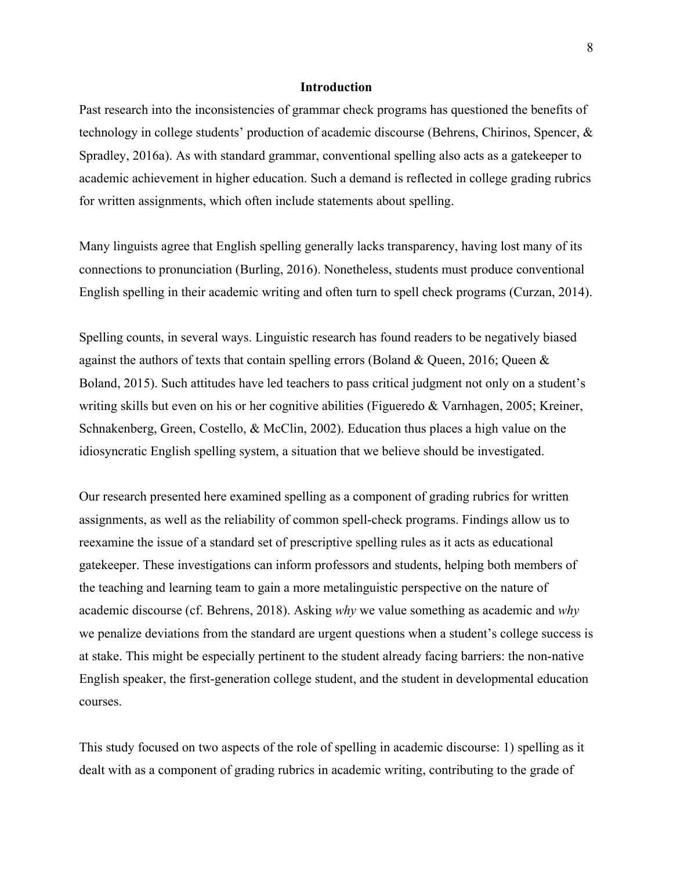#### **Introduction**

Past research into the inconsistencies of grammar check programs has questioned the benefits of technology in college students' production of academic discourse (Behrens, Chirinos, Spencer, & Spradley, 2016a). As with standard grammar, conventional spelling also acts as a gatekeeper to academic achievement in higher education. Such a demand is reflected in college grading rubrics for written assignments, which often include statements about spelling.

Many linguists agree that English spelling generally lacks transparency, having lost many of its connections to pronunciation (Burling, 2016). Nonetheless, students must produce conventional English spelling in their academic writing and often turn to spell check programs (Curzan, 2014).

Spelling counts, in several ways. Linguistic research has found readers to be negatively biased against the authors of texts that contain spelling errors (Boland & Queen, 2016; Queen & Boland, 2015). Such attitudes have led teachers to pass critical judgment not only on a student's writing skills but even on his or her cognitive abilities (Figueredo & Varnhagen, 2005; Kreiner, Schnakenberg, Green, Costello, & McClin, 2002). Education thus places a high value on the idiosyncratic English spelling system, a situation that we believe should be investigated.

Our research presented here examined spelling as a component of grading rubrics for written assignments, as well as the reliability of common spell-check programs. Findings allow us to reexamine the issue of a standard set of prescriptive spelling rules as it acts as educational gatekeeper. These investigations can inform professors and students, helping both members of the teaching and learning team to gain a more metalinguistic perspective on the nature of academic discourse (cf. Behrens, 2018). Asking *why* we value something as academic and *why* we penalize deviations from the standard are urgent questions when a student's college success is at stake. This might be especially pertinent to the student already facing barriers: the non-native English speaker, the first-generation college student, and the student in developmental education courses.

This study focused on two aspects of the role of spelling in academic discourse: 1) spelling as it dealt with as a component of grading rubrics in academic writing, contributing to the grade of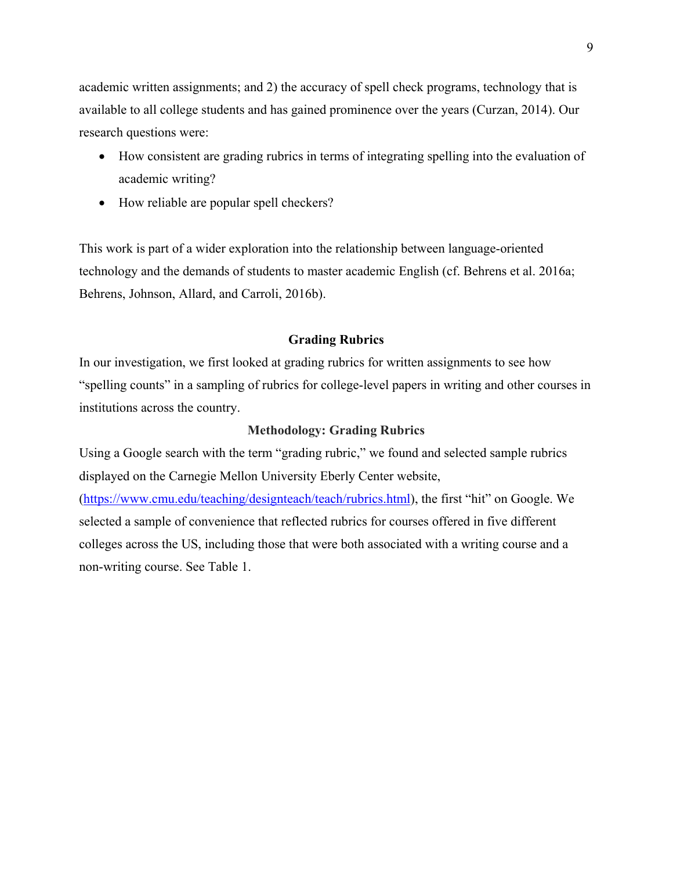academic written assignments; and 2) the accuracy of spell check programs, technology that is available to all college students and has gained prominence over the years (Curzan, 2014). Our research questions were:

- How consistent are grading rubrics in terms of integrating spelling into the evaluation of academic writing?
- How reliable are popular spell checkers?

This work is part of a wider exploration into the relationship between language-oriented technology and the demands of students to master academic English (cf. Behrens et al. 2016a; Behrens, Johnson, Allard, and Carroli, 2016b).

#### **Grading Rubrics**

In our investigation, we first looked at grading rubrics for written assignments to see how "spelling counts" in a sampling of rubrics for college-level papers in writing and other courses in institutions across the country.

## **Methodology: Grading Rubrics**

Using a Google search with the term "grading rubric," we found and selected sample rubrics displayed on the Carnegie Mellon University Eberly Center website,

[\(https://www.cmu.edu/teaching/designteach/teach/rubrics.html\)](https://www.cmu.edu/teaching/designteach/teach/rubrics.html), the first "hit" on Google. We selected a sample of convenience that reflected rubrics for courses offered in five different colleges across the US, including those that were both associated with a writing course and a non-writing course. See Table 1.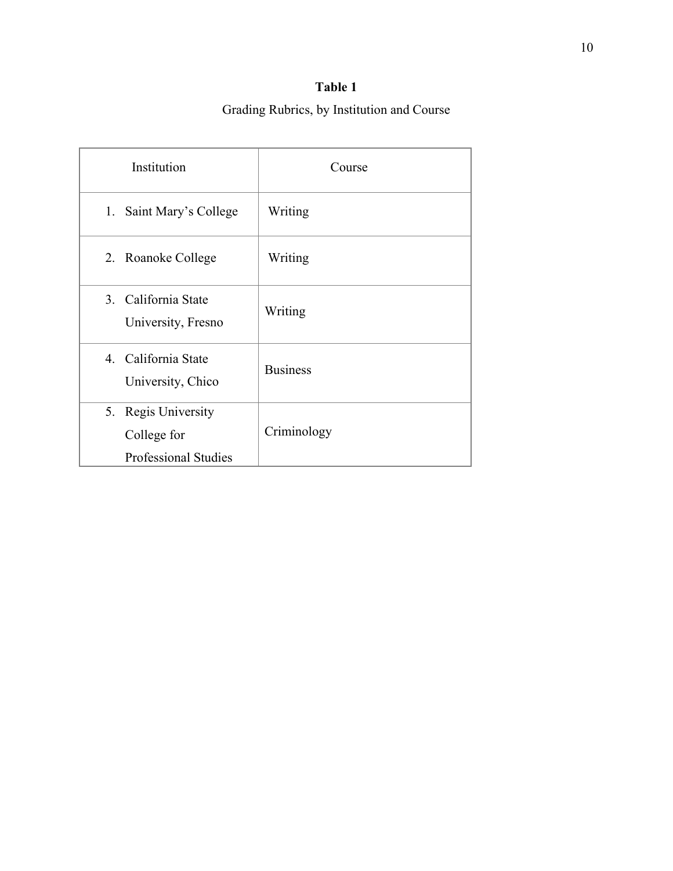# **Table 1**

# Grading Rubrics, by Institution and Course

| Institution                                                       | Course          |
|-------------------------------------------------------------------|-----------------|
| 1. Saint Mary's College                                           | Writing         |
| 2. Roanoke College                                                | Writing         |
| 3. California State<br>University, Fresno                         | Writing         |
| 4. California State<br>University, Chico                          | <b>Business</b> |
| 5. Regis University<br>College for<br><b>Professional Studies</b> | Criminology     |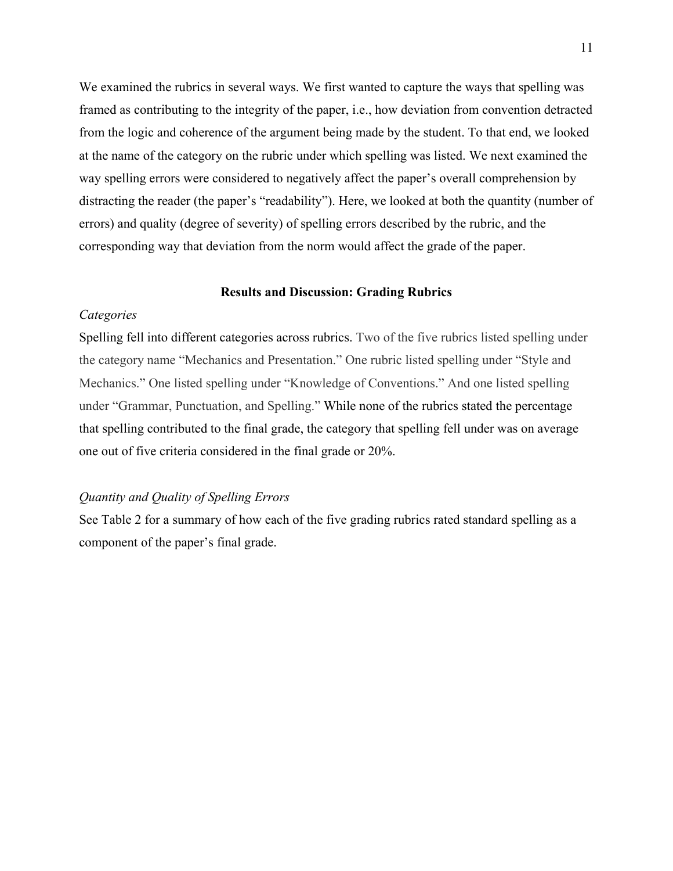We examined the rubrics in several ways. We first wanted to capture the ways that spelling was framed as contributing to the integrity of the paper, i.e., how deviation from convention detracted from the logic and coherence of the argument being made by the student. To that end, we looked at the name of the category on the rubric under which spelling was listed. We next examined the way spelling errors were considered to negatively affect the paper's overall comprehension by distracting the reader (the paper's "readability"). Here, we looked at both the quantity (number of errors) and quality (degree of severity) of spelling errors described by the rubric, and the corresponding way that deviation from the norm would affect the grade of the paper.

#### **Results and Discussion: Grading Rubrics**

# *Categories*

Spelling fell into different categories across rubrics. Two of the five rubrics listed spelling under the category name "Mechanics and Presentation." One rubric listed spelling under "Style and Mechanics." One listed spelling under "Knowledge of Conventions." And one listed spelling under "Grammar, Punctuation, and Spelling." While none of the rubrics stated the percentage that spelling contributed to the final grade, the category that spelling fell under was on average one out of five criteria considered in the final grade or 20%.

# *Quantity and Quality of Spelling Errors*

See Table 2 for a summary of how each of the five grading rubrics rated standard spelling as a component of the paper's final grade.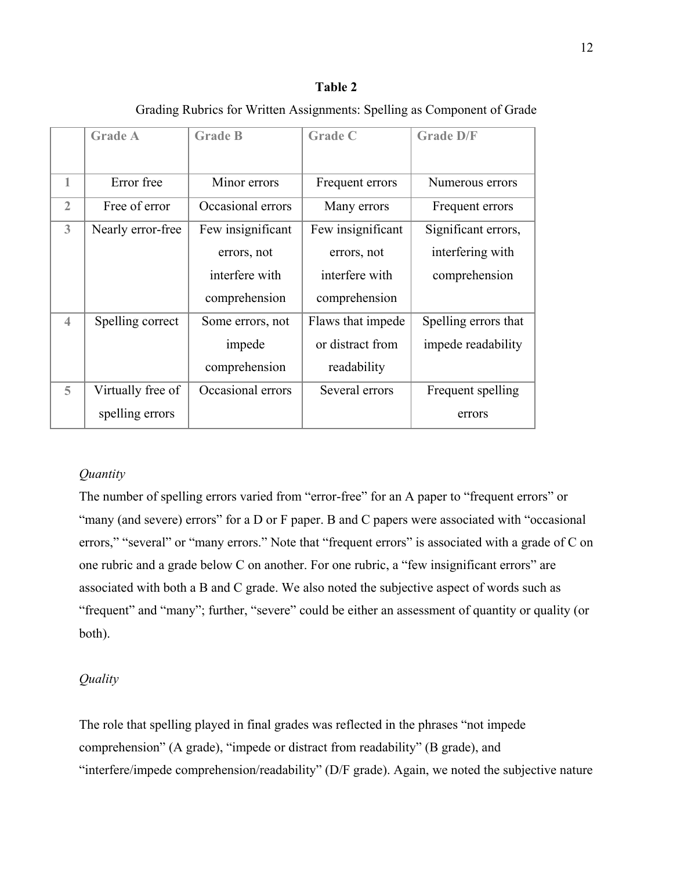## **Table 2**

|                          | <b>Grade A</b>    | <b>Grade B</b>    | <b>Grade C</b>    | <b>Grade D/F</b>     |
|--------------------------|-------------------|-------------------|-------------------|----------------------|
| 1                        | Error free        | Minor errors      | Frequent errors   | Numerous errors      |
| $\overline{2}$           | Free of error     | Occasional errors | Many errors       | Frequent errors      |
| 3                        | Nearly error-free | Few insignificant | Few insignificant | Significant errors,  |
|                          |                   | errors, not       | errors, not       | interfering with     |
|                          |                   | interfere with    | interfere with    | comprehension        |
|                          |                   | comprehension     | comprehension     |                      |
| $\overline{\mathcal{A}}$ | Spelling correct  | Some errors, not  | Flaws that impede | Spelling errors that |
|                          |                   | impede            | or distract from  | impede readability   |
|                          |                   | comprehension     | readability       |                      |
| 5                        | Virtually free of | Occasional errors | Several errors    | Frequent spelling    |
|                          | spelling errors   |                   |                   | errors               |

# Grading Rubrics for Written Assignments: Spelling as Component of Grade

# *Quantity*

The number of spelling errors varied from "error-free" for an A paper to "frequent errors" or "many (and severe) errors" for a D or F paper. B and C papers were associated with "occasional errors," "several" or "many errors." Note that "frequent errors" is associated with a grade of C on one rubric and a grade below C on another. For one rubric, a "few insignificant errors" are associated with both a B and C grade. We also noted the subjective aspect of words such as "frequent" and "many"; further, "severe" could be either an assessment of quantity or quality (or both).

## *Quality*

The role that spelling played in final grades was reflected in the phrases "not impede comprehension" (A grade), "impede or distract from readability" (B grade), and "interfere/impede comprehension/readability" (D/F grade). Again, we noted the subjective nature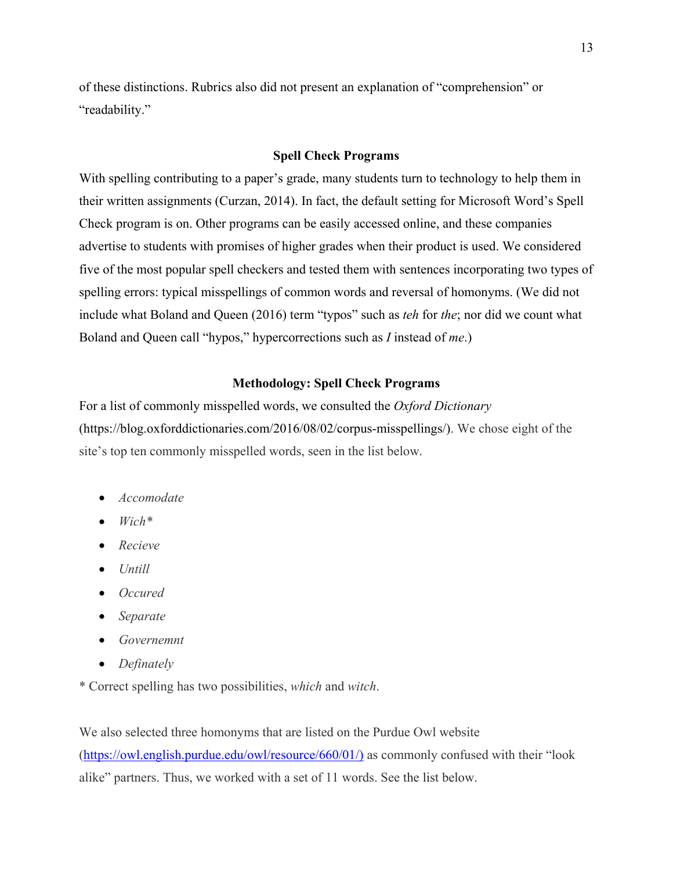of these distinctions. Rubrics also did not present an explanation of "comprehension" or "readability."

#### **Spell Check Programs**

With spelling contributing to a paper's grade, many students turn to technology to help them in their written assignments (Curzan, 2014). In fact, the default setting for Microsoft Word's Spell Check program is on. Other programs can be easily accessed online, and these companies advertise to students with promises of higher grades when their product is used. We considered five of the most popular spell checkers and tested them with sentences incorporating two types of spelling errors: typical misspellings of common words and reversal of homonyms. (We did not include what Boland and Queen (2016) term "typos" such as *teh* for *the*; nor did we count what Boland and Queen call "hypos," hypercorrections such as *I* instead of *me*.)

# **Methodology: Spell Check Programs**

For a list of commonly misspelled words, we consulted the *Oxford Dictionary* (https://blog.oxforddictionaries.com/2016/08/02/corpus-misspellings/). We chose eight of the site's top ten commonly misspelled words, seen in the list below.

- *Accomodate*
- *Wich\**
- *Recieve*
- *Untill*
- *Occured*
- *Separate*
- *Governemnt*
- *Definately*

\* Correct spelling has two possibilities, *which* and *witch*.

We also selected three homonyms that are listed on the Purdue Owl website [\(https://owl.english.purdue.edu/owl/resource/660/01/\)](https://owl.english.purdue.edu/owl/resource/660/01/)) as commonly confused with their "look alike" partners. Thus, we worked with a set of 11 words. See the list below.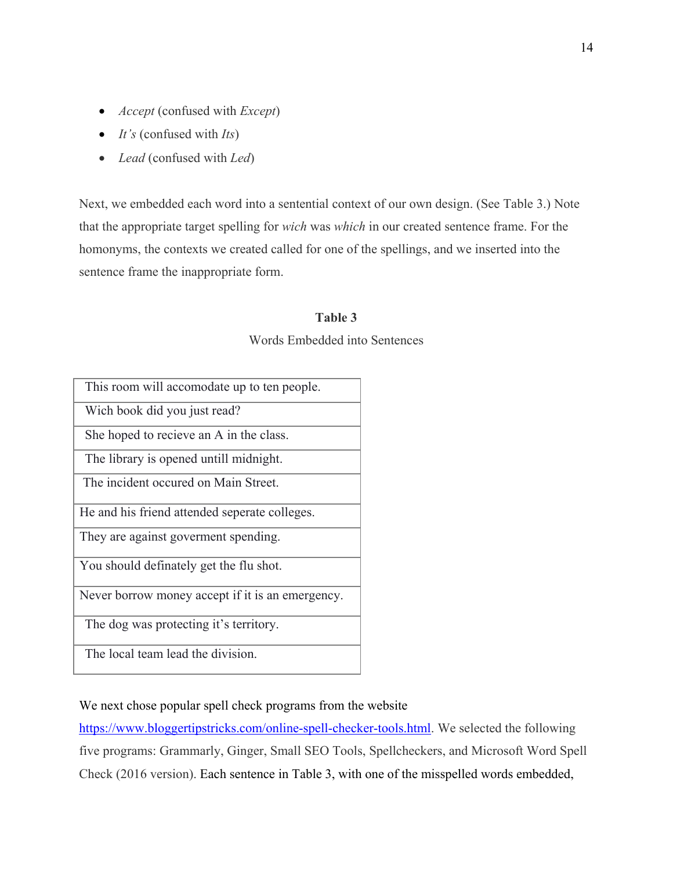- *Accept* (confused with *Except*)
- *It's* (confused with *Its*)
- *Lead* (confused with *Led*)

Next, we embedded each word into a sentential context of our own design. (See Table 3.) Note that the appropriate target spelling for *wich* was *which* in our created sentence frame. For the homonyms, the contexts we created called for one of the spellings, and we inserted into the sentence frame the inappropriate form.

# **Table 3**

Words Embedded into Sentences

| This room will accomodate up to ten people.      |
|--------------------------------------------------|
| Wich book did you just read?                     |
| She hoped to recieve an A in the class.          |
| The library is opened untill midnight.           |
| The incident occured on Main Street.             |
| He and his friend attended seperate colleges.    |
| They are against goverment spending.             |
| You should definately get the flu shot.          |
| Never borrow money accept if it is an emergency. |
| The dog was protecting it's territory.           |
| The local team lead the division.                |

We next chose popular spell check programs from the website

[https://www.bloggertipstricks.com/online-spell-checker-tools.html.](https://www.bloggertipstricks.com/online-spell-checker-tools.html) We selected the following five programs: Grammarly, Ginger, Small SEO Tools, Spellcheckers, and Microsoft Word Spell Check (2016 version). Each sentence in Table 3, with one of the misspelled words embedded,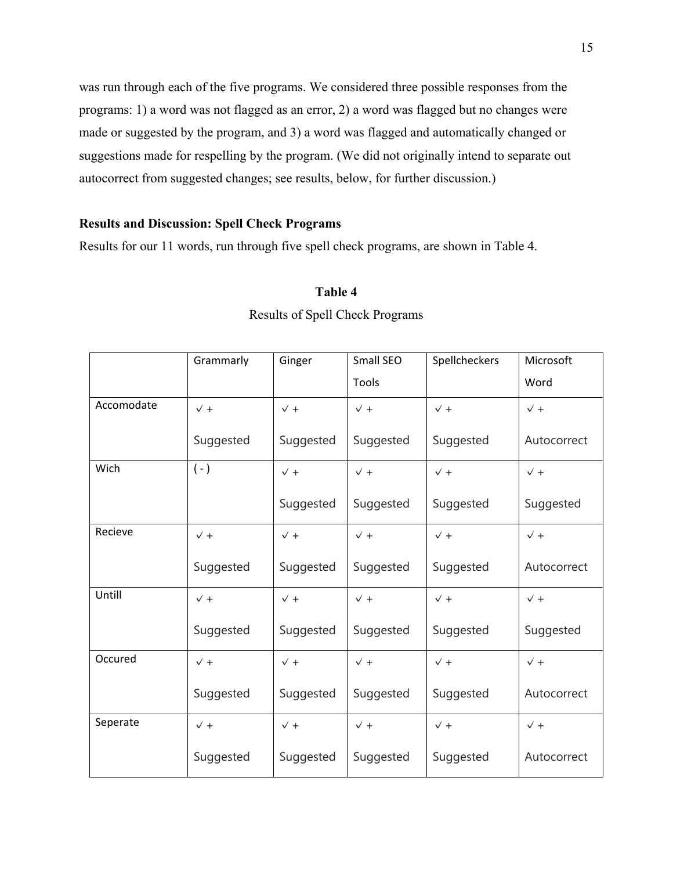was run through each of the five programs. We considered three possible responses from the programs: 1) a word was not flagged as an error, 2) a word was flagged but no changes were made or suggested by the program, and 3) a word was flagged and automatically changed or suggestions made for respelling by the program. (We did not originally intend to separate out autocorrect from suggested changes; see results, below, for further discussion.)

# **Results and Discussion: Spell Check Programs**

Results for our 11 words, run through five spell check programs, are shown in Table 4.

# **Table 4**

|            | Grammarly      | Ginger         | Small SEO      | Spellcheckers  | Microsoft      |  |
|------------|----------------|----------------|----------------|----------------|----------------|--|
|            |                |                | Tools          |                | Word           |  |
| Accomodate | $\checkmark$ + | $\checkmark$ + | $\checkmark$ + | $\checkmark$ + | $\checkmark$ + |  |
|            | Suggested      | Suggested      | Suggested      | Suggested      | Autocorrect    |  |
| Wich       | $(-)$          | $\checkmark$ + | $\checkmark$ + | $\checkmark$ + | $\sqrt{+}$     |  |
|            |                | Suggested      | Suggested      | Suggested      | Suggested      |  |
| Recieve    | $\checkmark$ + | $\checkmark$ + | $\checkmark$ + | $\checkmark$ + | $\sqrt{+}$     |  |
|            | Suggested      | Suggested      | Suggested      | Suggested      | Autocorrect    |  |
| Untill     | $\sqrt{+}$     | $\checkmark$ + | $\sqrt{+}$     | $\checkmark$ + | $\sqrt{+}$     |  |
|            | Suggested      | Suggested      | Suggested      | Suggested      | Suggested      |  |
| Occured    | $\sqrt{+}$     | $\checkmark$ + | $\checkmark$ + | $\sqrt{+}$     | $\sqrt{+}$     |  |
|            | Suggested      | Suggested      | Suggested      | Suggested      | Autocorrect    |  |
| Seperate   | $\sqrt{+}$     | $\checkmark$ + | $\checkmark$ + | $\checkmark$ + | $\sqrt{+}$     |  |
|            | Suggested      | Suggested      | Suggested      | Suggested      | Autocorrect    |  |

# Results of Spell Check Programs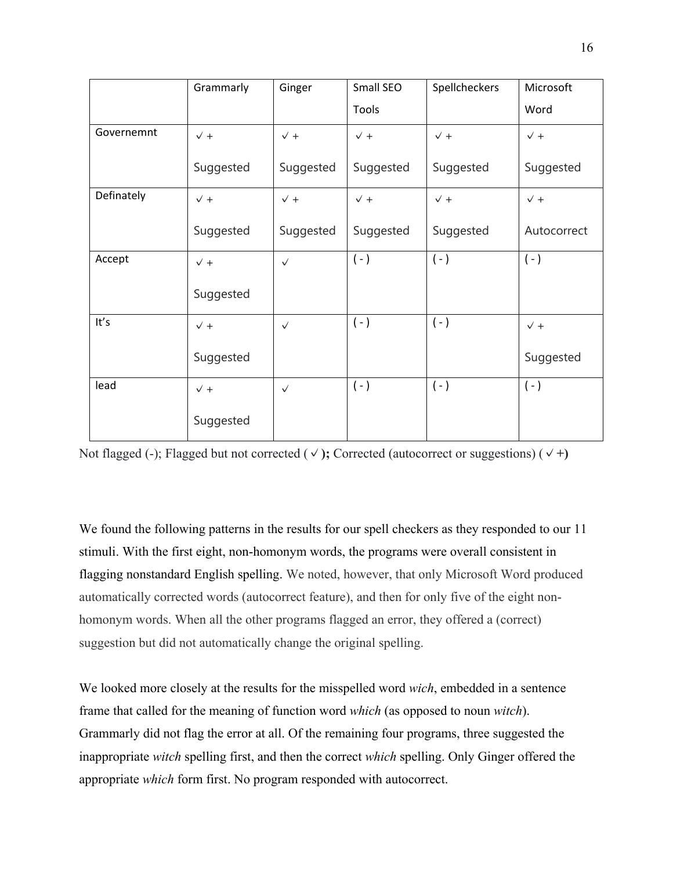|            | Grammarly      | Ginger         | Small SEO  | Spellcheckers  | Microsoft   |
|------------|----------------|----------------|------------|----------------|-------------|
|            |                |                | Tools      |                | Word        |
| Governemnt | $\checkmark$ + | $\checkmark$ + | $\sqrt{+}$ | $\checkmark$ + | $\sqrt{+}$  |
|            | Suggested      | Suggested      | Suggested  | Suggested      | Suggested   |
| Definately | $\sqrt{+}$     | $\checkmark$ + | $\sqrt{+}$ | $\checkmark$ + | $\sqrt{+}$  |
|            | Suggested      | Suggested      | Suggested  | Suggested      | Autocorrect |
| Accept     | $\sqrt{+}$     | $\checkmark$   | $(-)$      | $(-)$          | $(-)$       |
|            | Suggested      |                |            |                |             |
| It's       | $\sqrt{+}$     | $\checkmark$   | $(-)$      | $(-)$          | $\sqrt{+}$  |
|            | Suggested      |                |            |                | Suggested   |
| lead       | $\sqrt{+}$     | $\checkmark$   | $(-)$      | $(-)$          | $(-)$       |
|            | Suggested      |                |            |                |             |

Not flagged (-); Flagged but not corrected (**✓);** Corrected (autocorrect or suggestions) (**✓+)**

We found the following patterns in the results for our spell checkers as they responded to our 11 stimuli. With the first eight, non-homonym words, the programs were overall consistent in flagging nonstandard English spelling. We noted, however, that only Microsoft Word produced automatically corrected words (autocorrect feature), and then for only five of the eight nonhomonym words. When all the other programs flagged an error, they offered a (correct) suggestion but did not automatically change the original spelling.

We looked more closely at the results for the misspelled word *wich*, embedded in a sentence frame that called for the meaning of function word *which* (as opposed to noun *witch*). Grammarly did not flag the error at all. Of the remaining four programs, three suggested the inappropriate *witch* spelling first, and then the correct *which* spelling. Only Ginger offered the appropriate *which* form first. No program responded with autocorrect.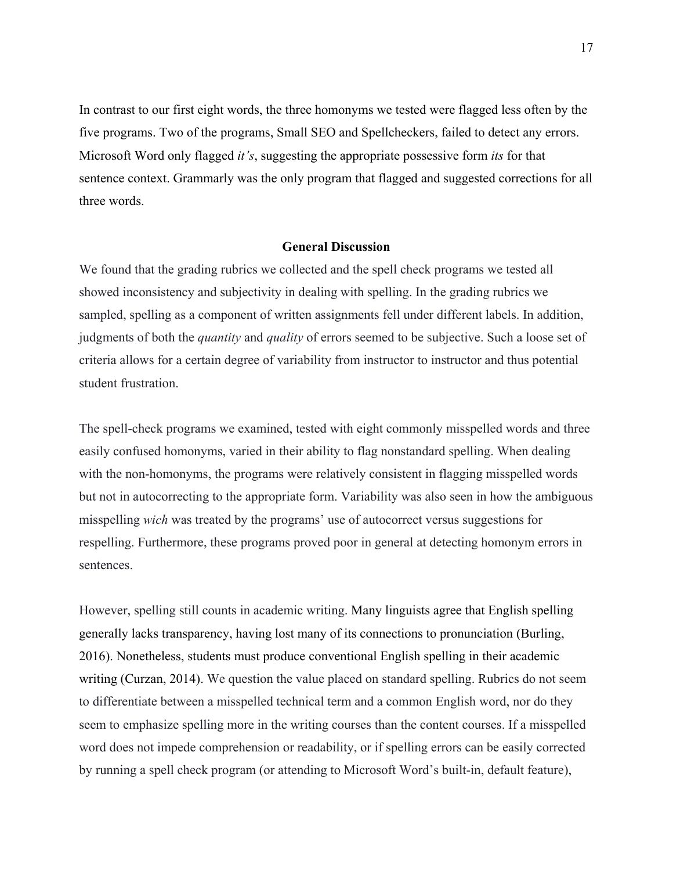In contrast to our first eight words, the three homonyms we tested were flagged less often by the five programs. Two of the programs, Small SEO and Spellcheckers, failed to detect any errors. Microsoft Word only flagged *it's*, suggesting the appropriate possessive form *its* for that sentence context. Grammarly was the only program that flagged and suggested corrections for all three words.

#### **General Discussion**

We found that the grading rubrics we collected and the spell check programs we tested all showed inconsistency and subjectivity in dealing with spelling. In the grading rubrics we sampled, spelling as a component of written assignments fell under different labels. In addition, judgments of both the *quantity* and *quality* of errors seemed to be subjective. Such a loose set of criteria allows for a certain degree of variability from instructor to instructor and thus potential student frustration.

The spell-check programs we examined, tested with eight commonly misspelled words and three easily confused homonyms, varied in their ability to flag nonstandard spelling. When dealing with the non-homonyms, the programs were relatively consistent in flagging misspelled words but not in autocorrecting to the appropriate form. Variability was also seen in how the ambiguous misspelling *wich* was treated by the programs' use of autocorrect versus suggestions for respelling. Furthermore, these programs proved poor in general at detecting homonym errors in sentences.

However, spelling still counts in academic writing. Many linguists agree that English spelling generally lacks transparency, having lost many of its connections to pronunciation (Burling, 2016). Nonetheless, students must produce conventional English spelling in their academic writing (Curzan, 2014). We question the value placed on standard spelling. Rubrics do not seem to differentiate between a misspelled technical term and a common English word, nor do they seem to emphasize spelling more in the writing courses than the content courses. If a misspelled word does not impede comprehension or readability, or if spelling errors can be easily corrected by running a spell check program (or attending to Microsoft Word's built-in, default feature),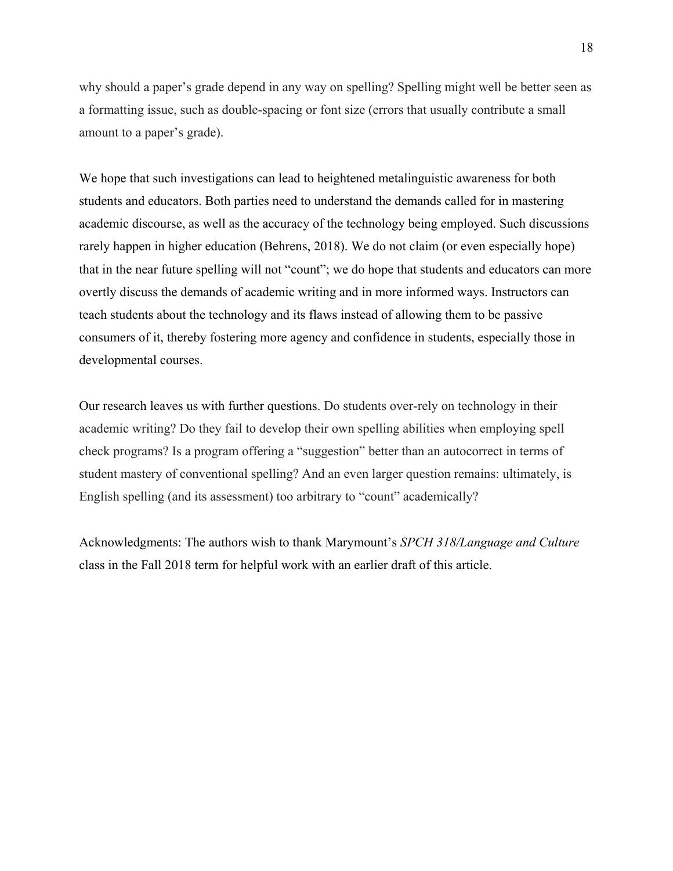why should a paper's grade depend in any way on spelling? Spelling might well be better seen as a formatting issue, such as double-spacing or font size (errors that usually contribute a small amount to a paper's grade).

We hope that such investigations can lead to heightened metalinguistic awareness for both students and educators. Both parties need to understand the demands called for in mastering academic discourse, as well as the accuracy of the technology being employed. Such discussions rarely happen in higher education (Behrens, 2018). We do not claim (or even especially hope) that in the near future spelling will not "count"; we do hope that students and educators can more overtly discuss the demands of academic writing and in more informed ways. Instructors can teach students about the technology and its flaws instead of allowing them to be passive consumers of it, thereby fostering more agency and confidence in students, especially those in developmental courses.

Our research leaves us with further questions. Do students over-rely on technology in their academic writing? Do they fail to develop their own spelling abilities when employing spell check programs? Is a program offering a "suggestion" better than an autocorrect in terms of student mastery of conventional spelling? And an even larger question remains: ultimately, is English spelling (and its assessment) too arbitrary to "count" academically?

Acknowledgments: The authors wish to thank Marymount's *SPCH 318/Language and Culture* class in the Fall 2018 term for helpful work with an earlier draft of this article.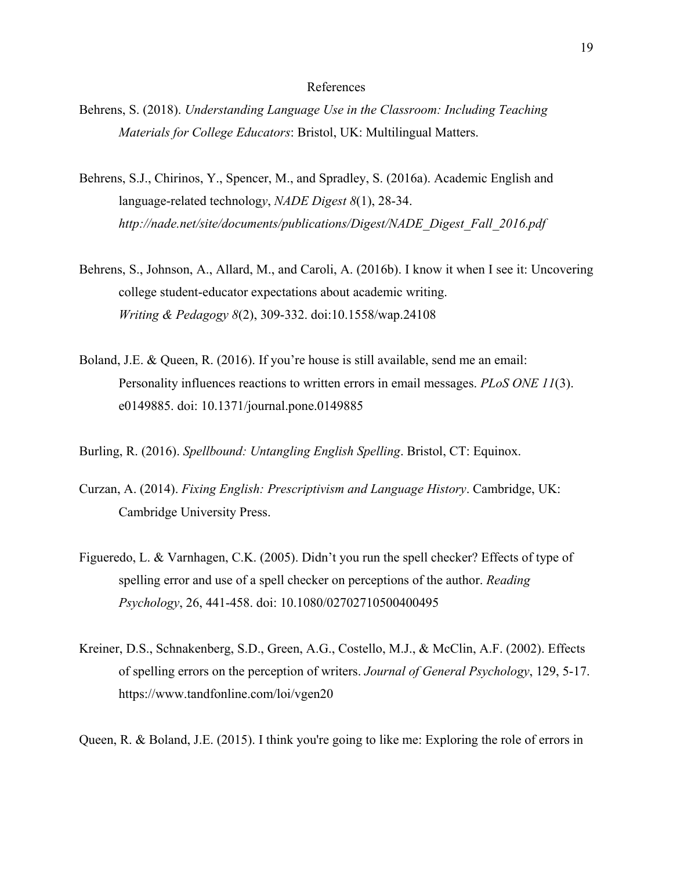#### References

- Behrens, S. (2018). *Understanding Language Use in the Classroom: Including Teaching Materials for College Educators*: Bristol, UK: Multilingual Matters.
- Behrens, S.J., Chirinos, Y., Spencer, M., and Spradley, S. (2016a). Academic English and language-related technolog*y*, *NADE Digest 8*(1), 28-34. *http://nade.net/site/documents/publications/Digest/NADE\_Digest\_Fall\_2016.pdf*
- Behrens, S., Johnson, A., Allard, M., and Caroli, A. (2016b). I know it when I see it: Uncovering college student-educator expectations about academic writing. *Writing & Pedagogy 8*(2), 309-332. doi:10.1558/wap.24108
- Boland, J.E. & Queen, R. (2016). If you're house is still available, send me an email: Personality influences reactions to written errors in email messages. *PLoS ONE 11*(3). e0149885. doi: 10.1371/journal.pone.0149885
- Burling, R. (2016). *Spellbound: Untangling English Spelling*. Bristol, CT: Equinox.
- Curzan, A. (2014). *Fixing English: Prescriptivism and Language History*. Cambridge, UK: Cambridge University Press.
- Figueredo, L. & Varnhagen, C.K. (2005). Didn't you run the spell checker? Effects of type of spelling error and use of a spell checker on perceptions of the author. *Reading Psychology*, 26, 441-458. doi: 10.1080/02702710500400495
- Kreiner, D.S., Schnakenberg, S.D., Green, A.G., Costello, M.J., & McClin, A.F. (2002). Effects of spelling errors on the perception of writers. *Journal of General Psychology*, 129, 5-17. https://www.tandfonline.com/loi/vgen20
- Queen, R. & Boland, J.E. (2015). I think you're going to like me: Exploring the role of errors in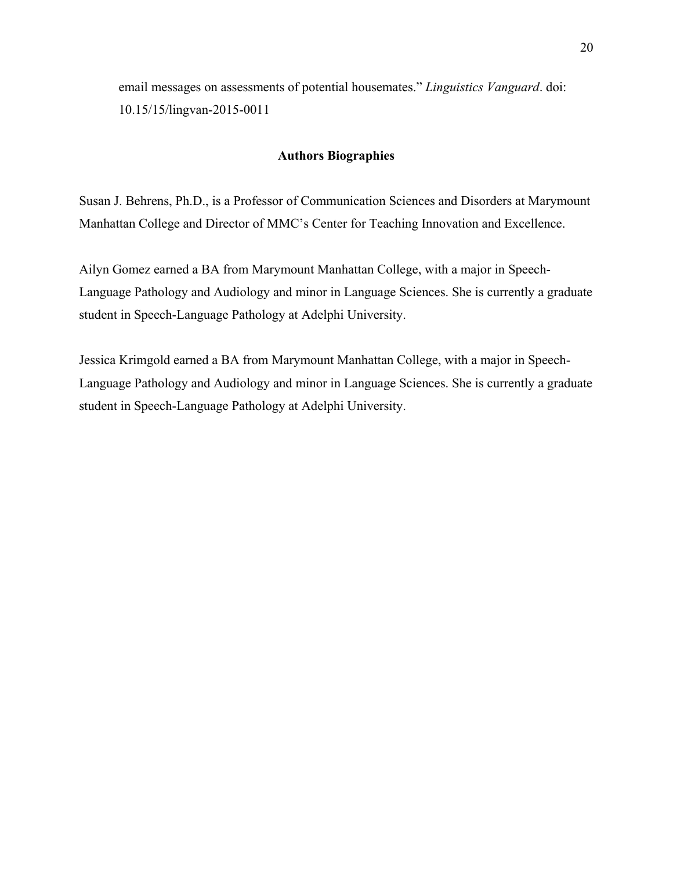email messages on assessments of potential housemates." *Linguistics Vanguard*. doi: 10.15/15/lingvan-2015-0011

## **Authors Biographies**

Susan J. Behrens, Ph.D., is a Professor of Communication Sciences and Disorders at Marymount Manhattan College and Director of MMC's Center for Teaching Innovation and Excellence.

Ailyn Gomez earned a BA from Marymount Manhattan College, with a major in Speech-Language Pathology and Audiology and minor in Language Sciences. She is currently a graduate student in Speech-Language Pathology at Adelphi University.

Jessica Krimgold earned a BA from Marymount Manhattan College, with a major in Speech-Language Pathology and Audiology and minor in Language Sciences. She is currently a graduate student in Speech-Language Pathology at Adelphi University.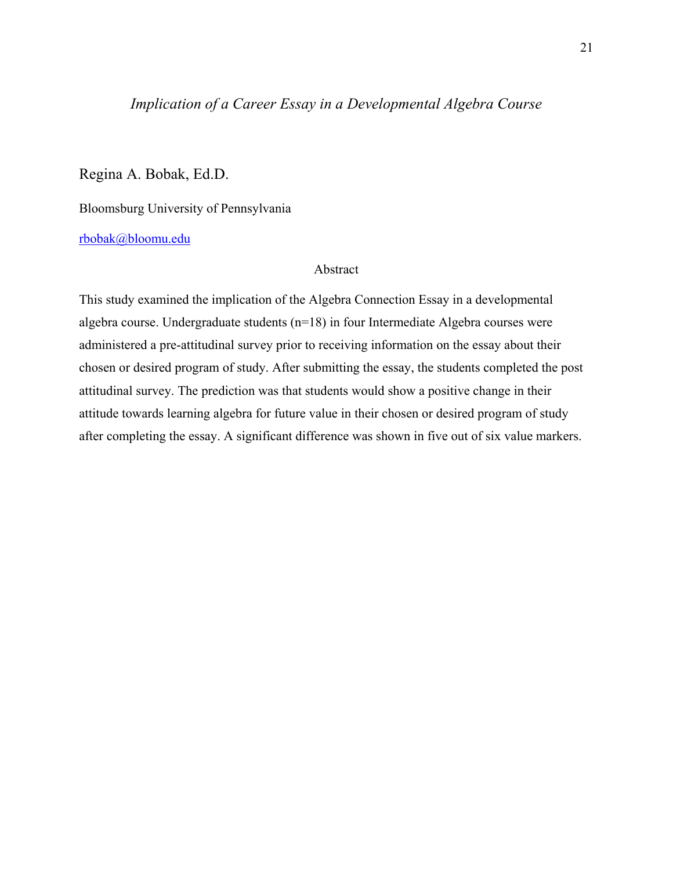# *Implication of a Career Essay in a Developmental Algebra Course*

Regina A. Bobak, Ed.D.

Bloomsburg University of Pennsylvania

[rbobak@bloomu.edu](mailto:rbobak@bloomu.edu)

Abstract

This study examined the implication of the Algebra Connection Essay in a developmental algebra course. Undergraduate students (n=18) in four Intermediate Algebra courses were administered a pre-attitudinal survey prior to receiving information on the essay about their chosen or desired program of study. After submitting the essay, the students completed the post attitudinal survey. The prediction was that students would show a positive change in their attitude towards learning algebra for future value in their chosen or desired program of study after completing the essay. A significant difference was shown in five out of six value markers.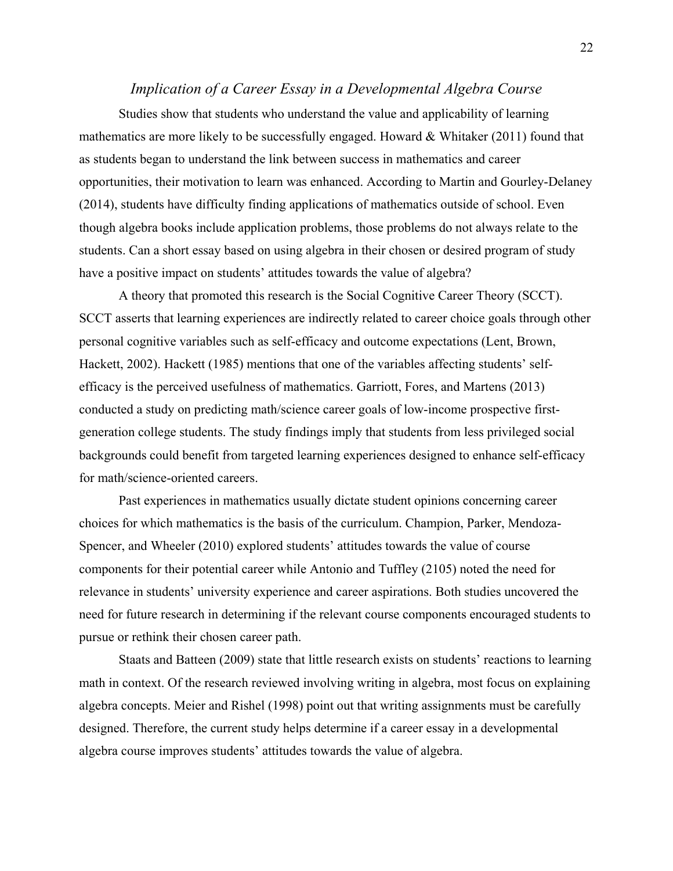# *Implication of a Career Essay in a Developmental Algebra Course*

Studies show that students who understand the value and applicability of learning mathematics are more likely to be successfully engaged. Howard  $\&$  Whitaker (2011) found that as students began to understand the link between success in mathematics and career opportunities, their motivation to learn was enhanced. According to Martin and Gourley-Delaney (2014), students have difficulty finding applications of mathematics outside of school. Even though algebra books include application problems, those problems do not always relate to the students. Can a short essay based on using algebra in their chosen or desired program of study have a positive impact on students' attitudes towards the value of algebra?

A theory that promoted this research is the Social Cognitive Career Theory (SCCT). SCCT asserts that learning experiences are indirectly related to career choice goals through other personal cognitive variables such as self-efficacy and outcome expectations (Lent, Brown, Hackett, 2002). Hackett (1985) mentions that one of the variables affecting students' selfefficacy is the perceived usefulness of mathematics. Garriott, Fores, and Martens (2013) conducted a study on predicting math/science career goals of low-income prospective firstgeneration college students. The study findings imply that students from less privileged social backgrounds could benefit from targeted learning experiences designed to enhance self-efficacy for math/science-oriented careers.

Past experiences in mathematics usually dictate student opinions concerning career choices for which mathematics is the basis of the curriculum. Champion, Parker, Mendoza-Spencer, and Wheeler (2010) explored students' attitudes towards the value of course components for their potential career while Antonio and Tuffley (2105) noted the need for relevance in students' university experience and career aspirations. Both studies uncovered the need for future research in determining if the relevant course components encouraged students to pursue or rethink their chosen career path.

Staats and Batteen (2009) state that little research exists on students' reactions to learning math in context. Of the research reviewed involving writing in algebra, most focus on explaining algebra concepts. Meier and Rishel (1998) point out that writing assignments must be carefully designed. Therefore, the current study helps determine if a career essay in a developmental algebra course improves students' attitudes towards the value of algebra.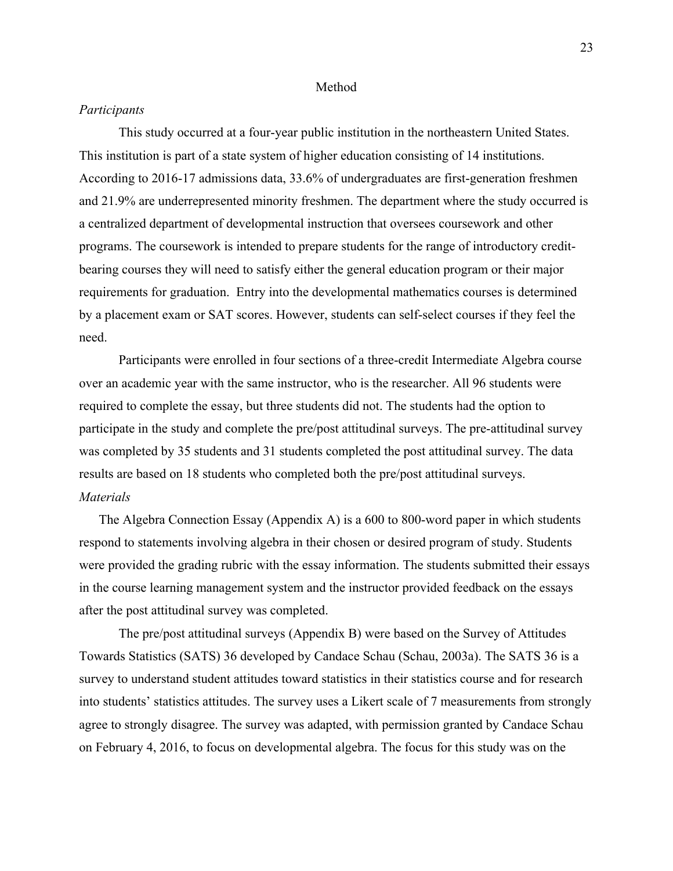#### Method

#### *Participants*

This study occurred at a four-year public institution in the northeastern United States. This institution is part of a state system of higher education consisting of 14 institutions. According to 2016-17 admissions data, 33.6% of undergraduates are first-generation freshmen and 21.9% are underrepresented minority freshmen. The department where the study occurred is a centralized department of developmental instruction that oversees coursework and other programs. The coursework is intended to prepare students for the range of introductory creditbearing courses they will need to satisfy either the general education program or their major requirements for graduation. Entry into the developmental mathematics courses is determined by a placement exam or SAT scores. However, students can self-select courses if they feel the need.

Participants were enrolled in four sections of a three-credit Intermediate Algebra course over an academic year with the same instructor, who is the researcher. All 96 students were required to complete the essay, but three students did not. The students had the option to participate in the study and complete the pre/post attitudinal surveys. The pre-attitudinal survey was completed by 35 students and 31 students completed the post attitudinal survey. The data results are based on 18 students who completed both the pre/post attitudinal surveys. *Materials*

The Algebra Connection Essay (Appendix A) is a 600 to 800-word paper in which students respond to statements involving algebra in their chosen or desired program of study. Students were provided the grading rubric with the essay information. The students submitted their essays in the course learning management system and the instructor provided feedback on the essays after the post attitudinal survey was completed.

The pre/post attitudinal surveys (Appendix B) were based on the Survey of Attitudes Towards Statistics (SATS) 36 developed by Candace Schau (Schau, 2003a). The SATS 36 is a survey to understand student attitudes toward statistics in their statistics course and for research into students' statistics attitudes. The survey uses a Likert scale of 7 measurements from strongly agree to strongly disagree. The survey was adapted, with permission granted by Candace Schau on February 4, 2016, to focus on developmental algebra. The focus for this study was on the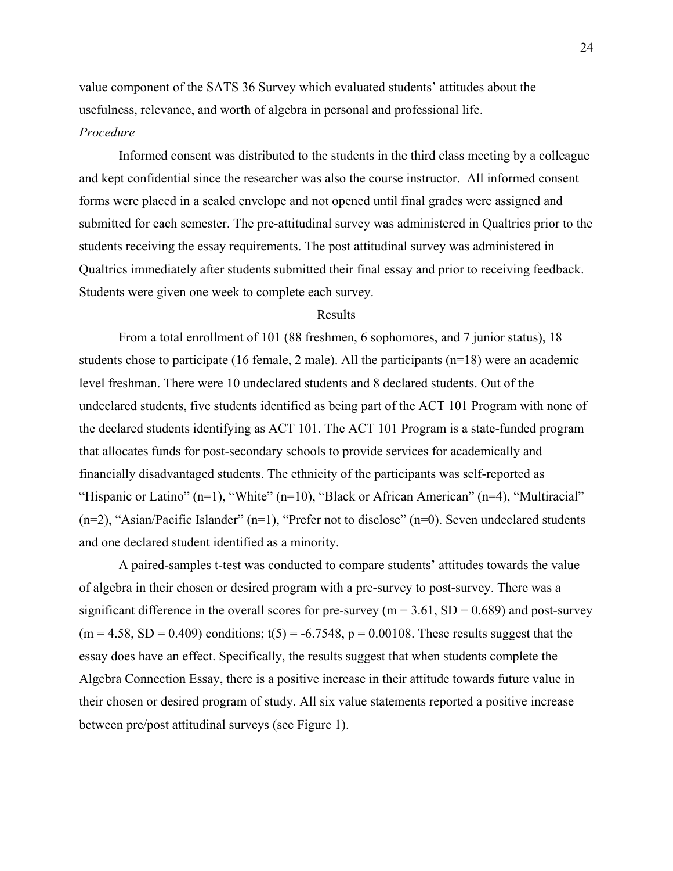value component of the SATS 36 Survey which evaluated students' attitudes about the usefulness, relevance, and worth of algebra in personal and professional life.

## *Procedure*

Informed consent was distributed to the students in the third class meeting by a colleague and kept confidential since the researcher was also the course instructor. All informed consent forms were placed in a sealed envelope and not opened until final grades were assigned and submitted for each semester. The pre-attitudinal survey was administered in Qualtrics prior to the students receiving the essay requirements. The post attitudinal survey was administered in Qualtrics immediately after students submitted their final essay and prior to receiving feedback. Students were given one week to complete each survey.

### Results

From a total enrollment of 101 (88 freshmen, 6 sophomores, and 7 junior status), 18 students chose to participate (16 female, 2 male). All the participants (n=18) were an academic level freshman. There were 10 undeclared students and 8 declared students. Out of the undeclared students, five students identified as being part of the ACT 101 Program with none of the declared students identifying as ACT 101. The ACT 101 Program is a state-funded program that allocates funds for post-secondary schools to provide services for academically and financially disadvantaged students. The ethnicity of the participants was self-reported as "Hispanic or Latino" (n=1), "White" (n=10), "Black or African American" (n=4), "Multiracial"  $(n=2)$ , "Asian/Pacific Islander"  $(n=1)$ , "Prefer not to disclose"  $(n=0)$ . Seven undeclared students and one declared student identified as a minority.

A paired-samples t-test was conducted to compare students' attitudes towards the value of algebra in their chosen or desired program with a pre-survey to post-survey. There was a significant difference in the overall scores for pre-survey ( $m = 3.61$ ,  $SD = 0.689$ ) and post-survey  $(m = 4.58, SD = 0.409)$  conditions; t(5) = -6.7548, p = 0.00108. These results suggest that the essay does have an effect. Specifically, the results suggest that when students complete the Algebra Connection Essay, there is a positive increase in their attitude towards future value in their chosen or desired program of study. All six value statements reported a positive increase between pre/post attitudinal surveys (see Figure 1).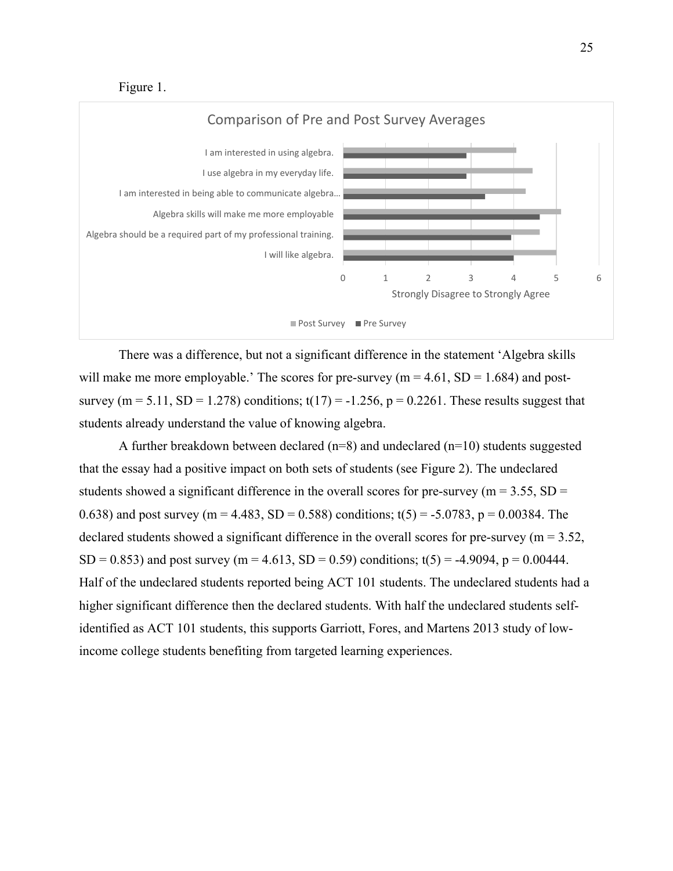Figure 1.



There was a difference, but not a significant difference in the statement 'Algebra skills will make me more employable.' The scores for pre-survey ( $m = 4.61$ , SD = 1.684) and postsurvey (m = 5.11, SD = 1.278) conditions;  $t(17) = -1.256$ , p = 0.2261. These results suggest that students already understand the value of knowing algebra.

A further breakdown between declared ( $n=8$ ) and undeclared ( $n=10$ ) students suggested that the essay had a positive impact on both sets of students (see Figure 2). The undeclared students showed a significant difference in the overall scores for pre-survey ( $m = 3.55$ ,  $SD =$ 0.638) and post survey (m = 4.483, SD = 0.588) conditions;  $t(5) = -5.0783$ , p = 0.00384. The declared students showed a significant difference in the overall scores for pre-survey ( $m = 3.52$ , SD = 0.853) and post survey (m = 4.613, SD = 0.59) conditions;  $t(5) = -4.9094$ , p = 0.00444. Half of the undeclared students reported being ACT 101 students. The undeclared students had a higher significant difference then the declared students. With half the undeclared students selfidentified as ACT 101 students, this supports Garriott, Fores, and Martens 2013 study of lowincome college students benefiting from targeted learning experiences.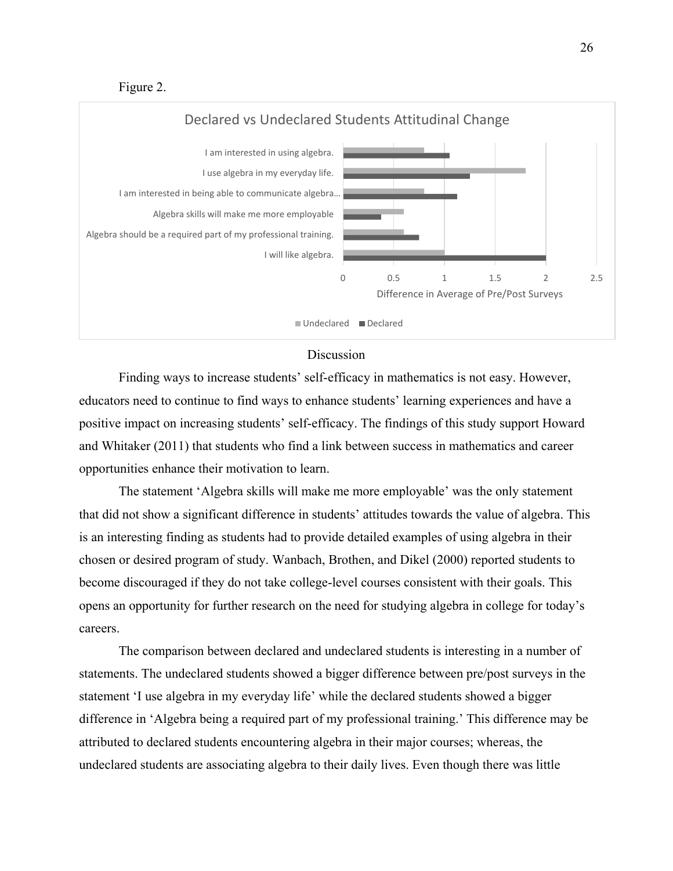Figure 2.



# Discussion

Finding ways to increase students' self-efficacy in mathematics is not easy. However, educators need to continue to find ways to enhance students' learning experiences and have a positive impact on increasing students' self-efficacy. The findings of this study support Howard and Whitaker (2011) that students who find a link between success in mathematics and career opportunities enhance their motivation to learn.

The statement 'Algebra skills will make me more employable' was the only statement that did not show a significant difference in students' attitudes towards the value of algebra. This is an interesting finding as students had to provide detailed examples of using algebra in their chosen or desired program of study. Wanbach, Brothen, and Dikel (2000) reported students to become discouraged if they do not take college-level courses consistent with their goals. This opens an opportunity for further research on the need for studying algebra in college for today's careers.

The comparison between declared and undeclared students is interesting in a number of statements. The undeclared students showed a bigger difference between pre/post surveys in the statement 'I use algebra in my everyday life' while the declared students showed a bigger difference in 'Algebra being a required part of my professional training.' This difference may be attributed to declared students encountering algebra in their major courses; whereas, the undeclared students are associating algebra to their daily lives. Even though there was little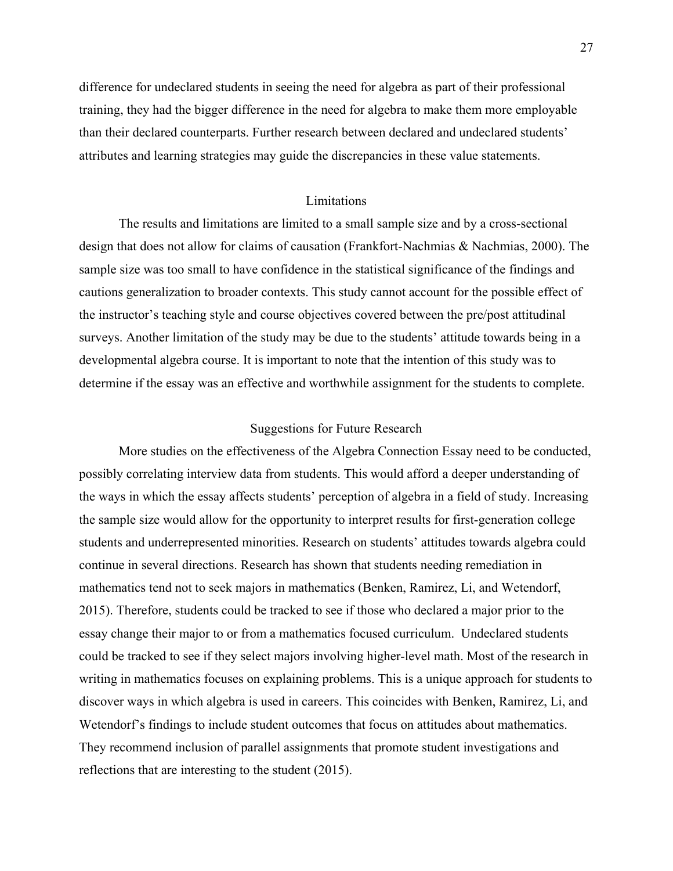difference for undeclared students in seeing the need for algebra as part of their professional training, they had the bigger difference in the need for algebra to make them more employable than their declared counterparts. Further research between declared and undeclared students' attributes and learning strategies may guide the discrepancies in these value statements.

# Limitations

The results and limitations are limited to a small sample size and by a cross-sectional design that does not allow for claims of causation (Frankfort-Nachmias & Nachmias, 2000). The sample size was too small to have confidence in the statistical significance of the findings and cautions generalization to broader contexts. This study cannot account for the possible effect of the instructor's teaching style and course objectives covered between the pre/post attitudinal surveys. Another limitation of the study may be due to the students' attitude towards being in a developmental algebra course. It is important to note that the intention of this study was to determine if the essay was an effective and worthwhile assignment for the students to complete.

## Suggestions for Future Research

More studies on the effectiveness of the Algebra Connection Essay need to be conducted, possibly correlating interview data from students. This would afford a deeper understanding of the ways in which the essay affects students' perception of algebra in a field of study. Increasing the sample size would allow for the opportunity to interpret results for first-generation college students and underrepresented minorities. Research on students' attitudes towards algebra could continue in several directions. Research has shown that students needing remediation in mathematics tend not to seek majors in mathematics (Benken, Ramirez, Li, and Wetendorf, 2015). Therefore, students could be tracked to see if those who declared a major prior to the essay change their major to or from a mathematics focused curriculum. Undeclared students could be tracked to see if they select majors involving higher-level math. Most of the research in writing in mathematics focuses on explaining problems. This is a unique approach for students to discover ways in which algebra is used in careers. This coincides with Benken, Ramirez, Li, and Wetendorf's findings to include student outcomes that focus on attitudes about mathematics. They recommend inclusion of parallel assignments that promote student investigations and reflections that are interesting to the student (2015).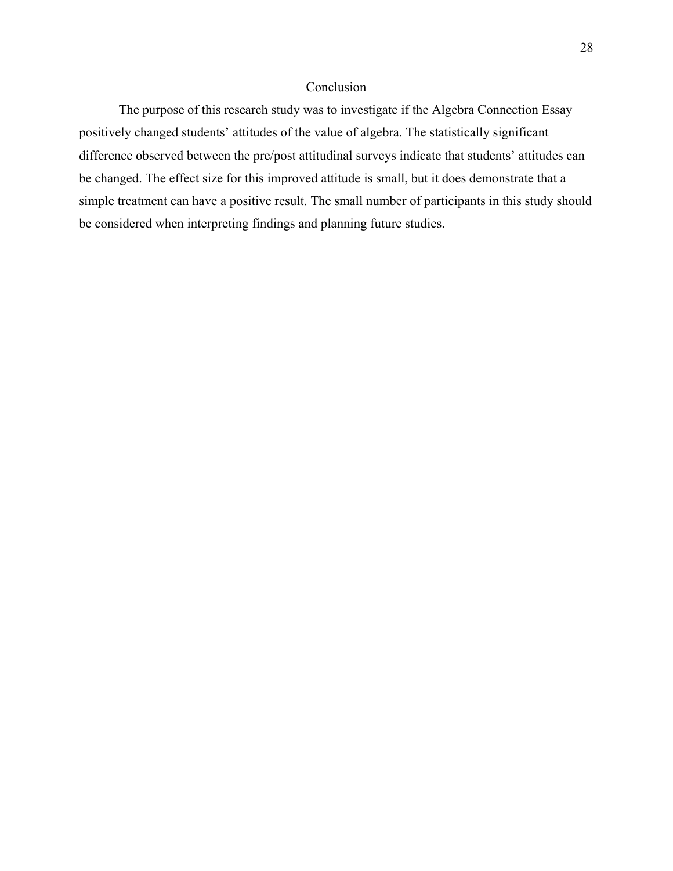# Conclusion

The purpose of this research study was to investigate if the Algebra Connection Essay positively changed students' attitudes of the value of algebra. The statistically significant difference observed between the pre/post attitudinal surveys indicate that students' attitudes can be changed. The effect size for this improved attitude is small, but it does demonstrate that a simple treatment can have a positive result. The small number of participants in this study should be considered when interpreting findings and planning future studies.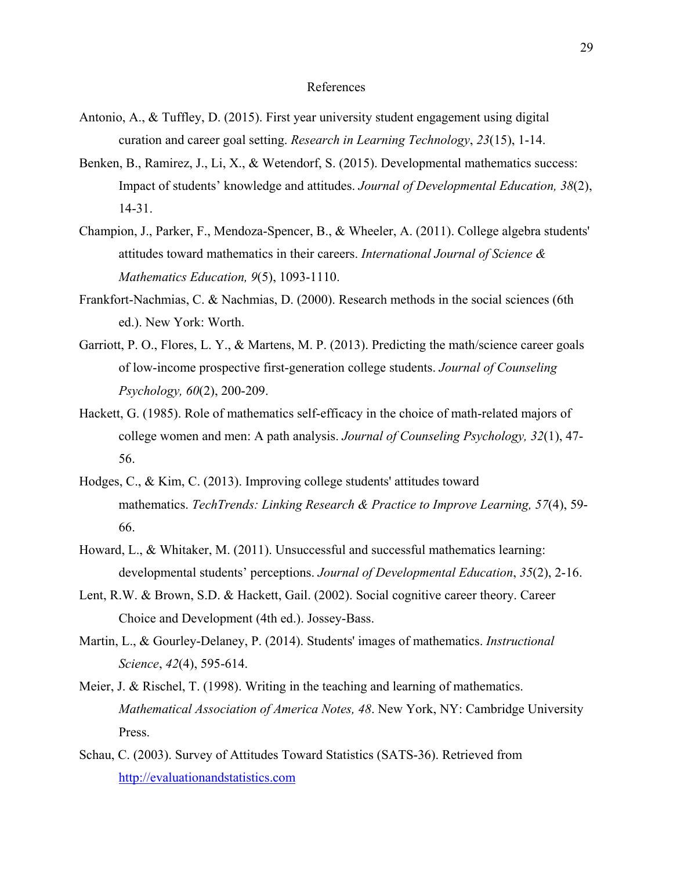#### References

- Antonio, A., & Tuffley, D. (2015). First year university student engagement using digital curation and career goal setting. *Research in Learning Technology*, *23*(15), 1-14.
- Benken, B., Ramirez, J., Li, X., & Wetendorf, S. (2015). Developmental mathematics success: Impact of students' knowledge and attitudes. *Journal of Developmental Education, 38*(2), 14-31.
- Champion, J., Parker, F., Mendoza-Spencer, B., & Wheeler, A. (2011). College algebra students' attitudes toward mathematics in their careers. *International Journal of Science & Mathematics Education, 9*(5), 1093-1110.
- Frankfort-Nachmias, C. & Nachmias, D. (2000). Research methods in the social sciences (6th ed.). New York: Worth.
- Garriott, P. O., Flores, L. Y., & Martens, M. P. (2013). Predicting the math/science career goals of low-income prospective first-generation college students. *Journal of Counseling Psychology, 60*(2), 200-209.
- Hackett, G. (1985). Role of mathematics self-efficacy in the choice of math-related majors of college women and men: A path analysis. *Journal of Counseling Psychology, 32*(1), 47- 56.
- Hodges, C., & Kim, C. (2013). Improving college students' attitudes toward mathematics. *TechTrends: Linking Research & Practice to Improve Learning, 57*(4), 59- 66.
- Howard, L., & Whitaker, M. (2011). Unsuccessful and successful mathematics learning: developmental students' perceptions. *Journal of Developmental Education*, *35*(2), 2-16.
- Lent, R.W. & Brown, S.D. & Hackett, Gail. (2002). Social cognitive career theory. Career Choice and Development (4th ed.). Jossey-Bass.
- Martin, L., & Gourley-Delaney, P. (2014). Students' images of mathematics. *Instructional Science*, *42*(4), 595-614.
- Meier, J. & Rischel, T. (1998). Writing in the teaching and learning of mathematics. *Mathematical Association of America Notes, 48*. New York, NY: Cambridge University Press.
- Schau, C. (2003). Survey of Attitudes Toward Statistics (SATS-36). Retrieved from [http://evaluationandstatistics.com](http://evaluationandstatistics.com/)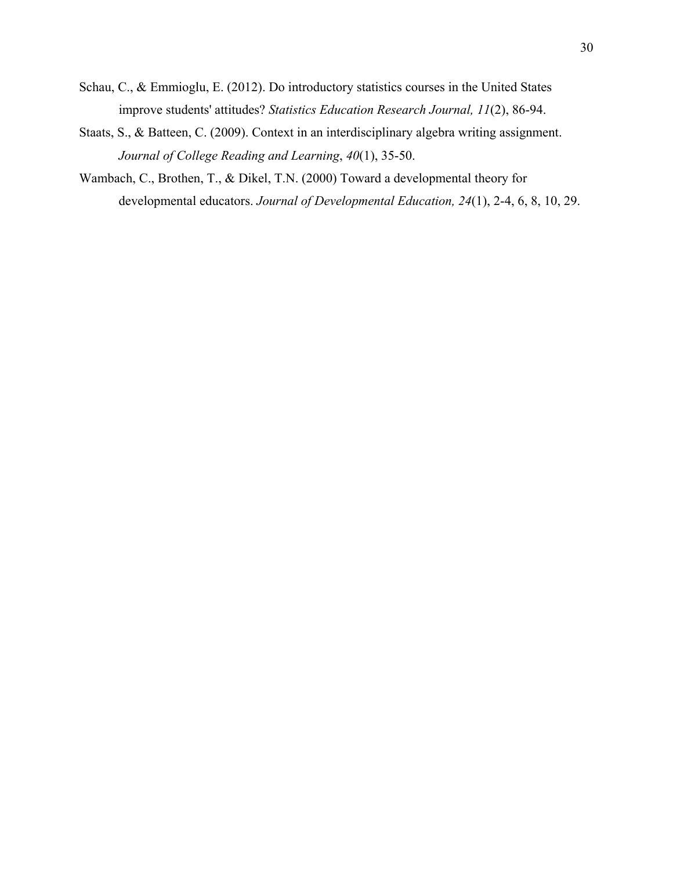- Schau, C., & Emmioglu, E. (2012). Do introductory statistics courses in the United States improve students' attitudes? *Statistics Education Research Journal, 11*(2), 86-94.
- Staats, S., & Batteen, C. (2009). Context in an interdisciplinary algebra writing assignment. *Journal of College Reading and Learning*, *40*(1), 35-50.
- Wambach, C., Brothen, T., & Dikel, T.N. (2000) Toward a developmental theory for developmental educators. *Journal of Developmental Education, 24*(1), 2-4, 6, 8, 10, 29.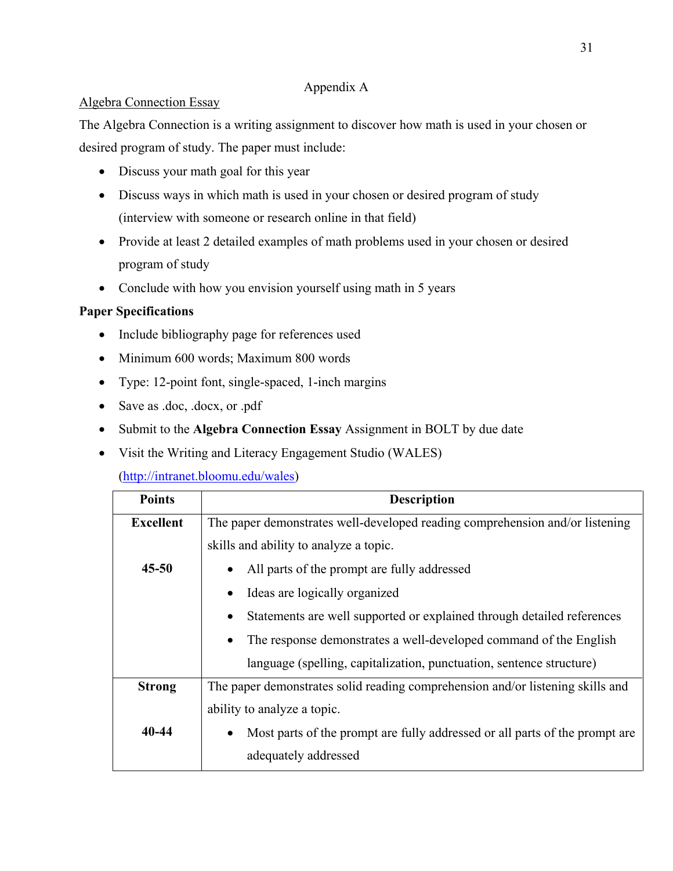# Appendix A

# Algebra Connection Essay

The Algebra Connection is a writing assignment to discover how math is used in your chosen or desired program of study. The paper must include:

- Discuss your math goal for this year
- Discuss ways in which math is used in your chosen or desired program of study (interview with someone or research online in that field)
- Provide at least 2 detailed examples of math problems used in your chosen or desired program of study
- Conclude with how you envision yourself using math in 5 years

# **Paper Specifications**

- Include bibliography page for references used
- Minimum 600 words; Maximum 800 words
- Type: 12-point font, single-spaced, 1-inch margins
- Save as .doc, .docx, or .pdf
- Submit to the **Algebra Connection Essay** Assignment in BOLT by due date
- Visit the Writing and Literacy Engagement Studio (WALES)

[\(http://intranet.bloomu.edu/wales\)](http://intranet.bloomu.edu/wales)

| <b>Points</b>    | <b>Description</b>                                                                       |
|------------------|------------------------------------------------------------------------------------------|
| <b>Excellent</b> | The paper demonstrates well-developed reading comprehension and/or listening             |
|                  | skills and ability to analyze a topic.                                                   |
| $45 - 50$        | All parts of the prompt are fully addressed<br>$\bullet$                                 |
|                  | Ideas are logically organized<br>$\bullet$                                               |
|                  | Statements are well supported or explained through detailed references<br>٠              |
|                  | The response demonstrates a well-developed command of the English<br>$\bullet$           |
|                  | language (spelling, capitalization, punctuation, sentence structure)                     |
| <b>Strong</b>    | The paper demonstrates solid reading comprehension and/or listening skills and           |
|                  | ability to analyze a topic.                                                              |
| 40-44            | Most parts of the prompt are fully addressed or all parts of the prompt are<br>$\bullet$ |
|                  | adequately addressed                                                                     |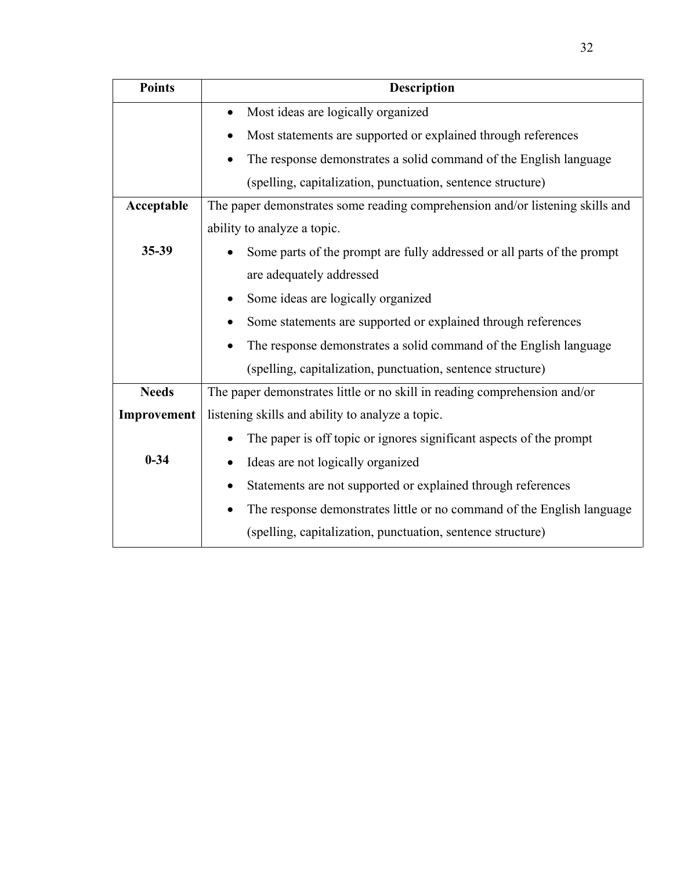| <b>Points</b> | <b>Description</b>                                                                  |
|---------------|-------------------------------------------------------------------------------------|
|               | Most ideas are logically organized<br>$\bullet$                                     |
|               | Most statements are supported or explained through references                       |
|               | The response demonstrates a solid command of the English language<br>$\bullet$      |
|               | (spelling, capitalization, punctuation, sentence structure)                         |
| Acceptable    | The paper demonstrates some reading comprehension and/or listening skills and       |
|               | ability to analyze a topic.                                                         |
| $35 - 39$     | Some parts of the prompt are fully addressed or all parts of the prompt             |
|               | are adequately addressed                                                            |
|               | Some ideas are logically organized<br>٠                                             |
|               | Some statements are supported or explained through references                       |
|               | The response demonstrates a solid command of the English language<br>$\bullet$      |
|               | (spelling, capitalization, punctuation, sentence structure)                         |
| <b>Needs</b>  | The paper demonstrates little or no skill in reading comprehension and/or           |
| Improvement   | listening skills and ability to analyze a topic.                                    |
|               | The paper is off topic or ignores significant aspects of the prompt<br>$\bullet$    |
| $0 - 34$      | Ideas are not logically organized<br>$\bullet$                                      |
|               | Statements are not supported or explained through references<br>$\bullet$           |
|               | The response demonstrates little or no command of the English language<br>$\bullet$ |
|               | (spelling, capitalization, punctuation, sentence structure)                         |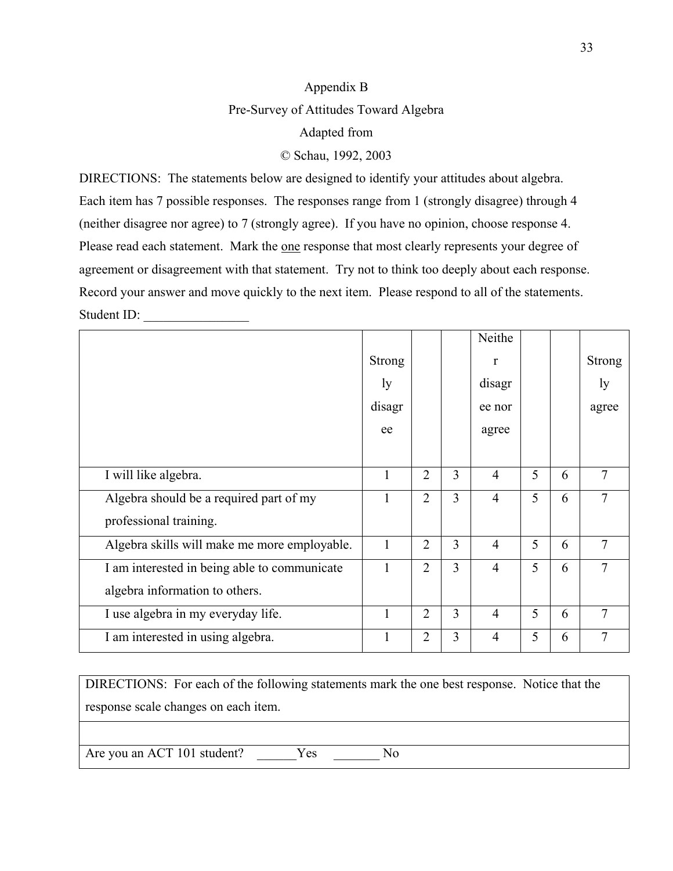# Appendix B Pre-Survey of Attitudes Toward Algebra Adapted from

© Schau, 1992, 2003

DIRECTIONS: The statements below are designed to identify your attitudes about algebra. Each item has 7 possible responses. The responses range from 1 (strongly disagree) through 4 (neither disagree nor agree) to 7 (strongly agree). If you have no opinion, choose response 4. Please read each statement. Mark the one response that most clearly represents your degree of agreement or disagreement with that statement. Try not to think too deeply about each response. Record your answer and move quickly to the next item. Please respond to all of the statements. Student ID:

|                                              |               |                |   | Neithe         |   |   |                |
|----------------------------------------------|---------------|----------------|---|----------------|---|---|----------------|
|                                              | <b>Strong</b> |                |   | r              |   |   | <b>Strong</b>  |
|                                              | ly            |                |   | disagr         |   |   | ly             |
|                                              | disagr        |                |   | ee nor         |   |   | agree          |
|                                              | ee            |                |   | agree          |   |   |                |
|                                              |               |                |   |                |   |   |                |
| I will like algebra.                         | 1             | $\overline{2}$ | 3 | $\overline{4}$ | 5 | 6 | $\overline{7}$ |
| Algebra should be a required part of my      |               | $\overline{2}$ | 3 | $\overline{4}$ | 5 | 6 | 7              |
| professional training.                       |               |                |   |                |   |   |                |
| Algebra skills will make me more employable. | 1             | $\overline{2}$ | 3 | $\overline{4}$ | 5 | 6 | $\overline{7}$ |
| I am interested in being able to communicate | 1             | $\overline{2}$ | 3 | $\overline{4}$ | 5 | 6 | 7              |
| algebra information to others.               |               |                |   |                |   |   |                |
| I use algebra in my everyday life.           | 1             | $\overline{2}$ | 3 | $\overline{4}$ | 5 | 6 | $\overline{7}$ |
| I am interested in using algebra.            | 1             | $\overline{2}$ | 3 | $\overline{4}$ | 5 | 6 | $\overline{7}$ |

DIRECTIONS: For each of the following statements mark the one best response. Notice that the response scale changes on each item.

Are you an ACT 101 student? Yes No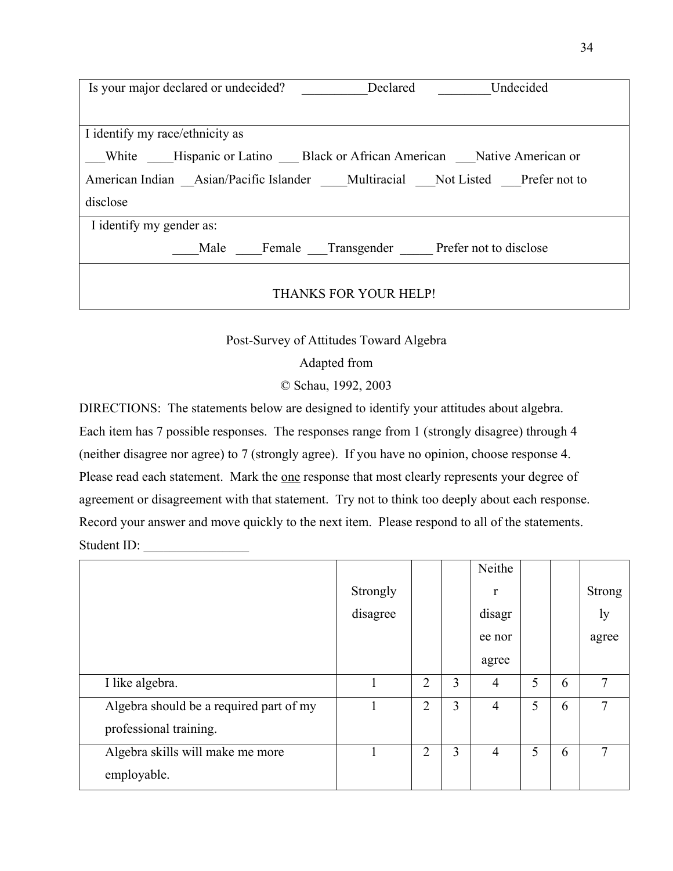| Is your major declared or undecided?<br>Undecided<br>Declared                       |  |  |  |  |  |  |  |
|-------------------------------------------------------------------------------------|--|--|--|--|--|--|--|
|                                                                                     |  |  |  |  |  |  |  |
| I identify my race/ethnicity as                                                     |  |  |  |  |  |  |  |
| __White ____Hispanic or Latino ____Black or African American ____Native American or |  |  |  |  |  |  |  |
| American Indian Asian/Pacific Islander Multiracial Not Listed Prefer not to         |  |  |  |  |  |  |  |
| disclose                                                                            |  |  |  |  |  |  |  |
| I identify my gender as:                                                            |  |  |  |  |  |  |  |
| Male Female Transgender Prefer not to disclose                                      |  |  |  |  |  |  |  |
|                                                                                     |  |  |  |  |  |  |  |
| THANKS FOR YOUR HELP!                                                               |  |  |  |  |  |  |  |

Post-Survey of Attitudes Toward Algebra

Adapted from

© Schau, 1992, 2003

DIRECTIONS: The statements below are designed to identify your attitudes about algebra. Each item has 7 possible responses. The responses range from 1 (strongly disagree) through 4 (neither disagree nor agree) to 7 (strongly agree). If you have no opinion, choose response 4. Please read each statement. Mark the one response that most clearly represents your degree of agreement or disagreement with that statement. Try not to think too deeply about each response. Record your answer and move quickly to the next item. Please respond to all of the statements. Student ID:

|                                         |          |                |   | Neithe         |   |   |        |
|-----------------------------------------|----------|----------------|---|----------------|---|---|--------|
|                                         | Strongly |                |   | r              |   |   | Strong |
|                                         | disagree |                |   | disagr         |   |   | ly     |
|                                         |          |                |   | ee nor         |   |   | agree  |
|                                         |          |                |   | agree          |   |   |        |
| I like algebra.                         | 1        | $\overline{2}$ | 3 | $\overline{4}$ | 5 | 6 | 7      |
| Algebra should be a required part of my |          | $\overline{2}$ | 3 | 4              | 5 | 6 | 7      |
| professional training.                  |          |                |   |                |   |   |        |
| Algebra skills will make me more        |          | $\overline{2}$ | 3 | $\overline{4}$ | 5 | 6 | 7      |
| employable.                             |          |                |   |                |   |   |        |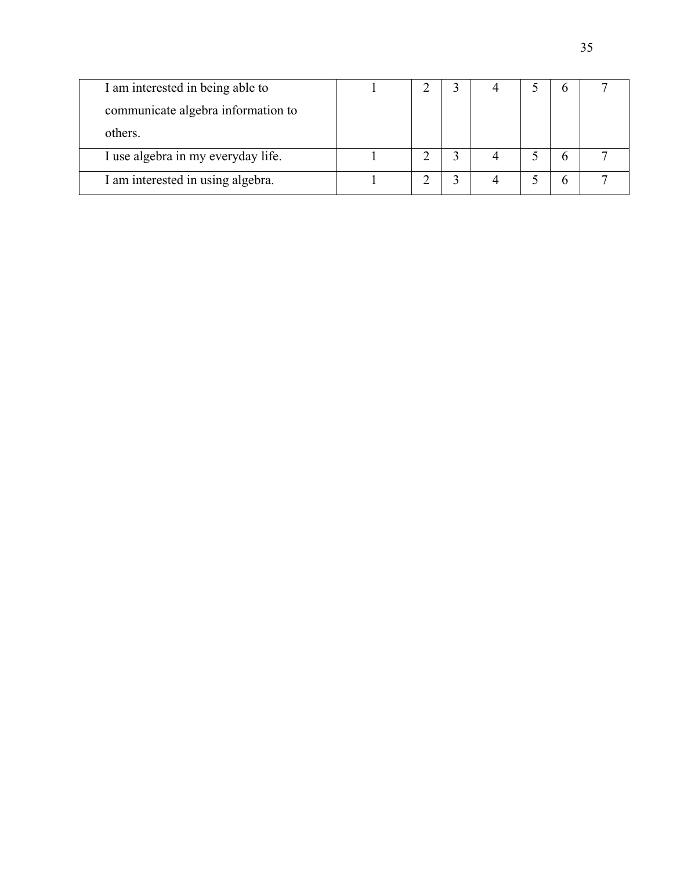| I am interested in being able to   |  |  | n |  |
|------------------------------------|--|--|---|--|
| communicate algebra information to |  |  |   |  |
| others.                            |  |  |   |  |
| I use algebra in my everyday life. |  |  |   |  |
| I am interested in using algebra.  |  |  | n |  |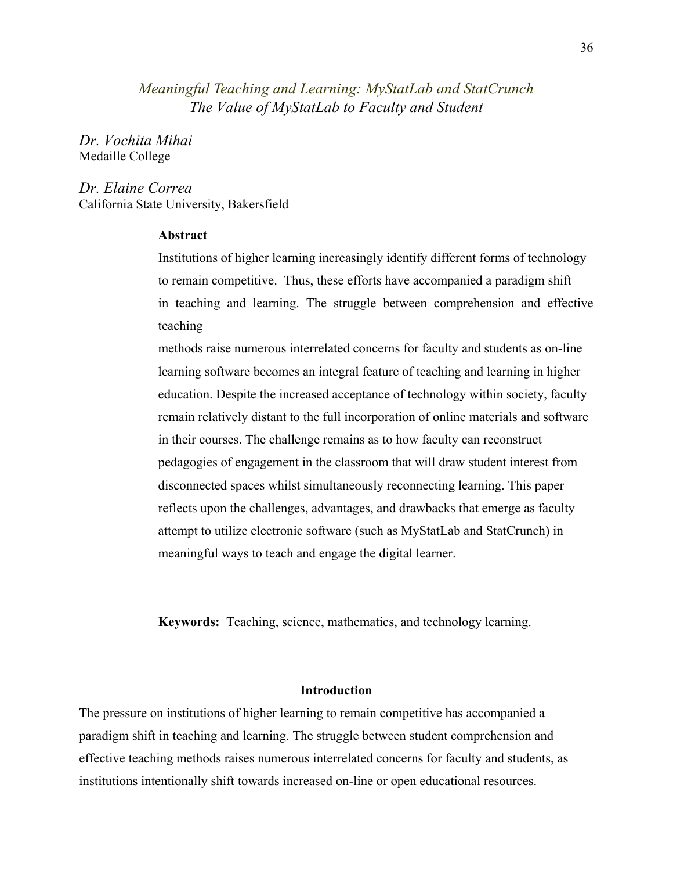# *Meaningful Teaching and Learning: MyStatLab and StatCrunch The Value of MyStatLab to Faculty and Student*

*Dr. Vochita Mihai* Medaille College

*Dr. Elaine Correa* California State University, Bakersfield

### **Abstract**

Institutions of higher learning increasingly identify different forms of technology to remain competitive. Thus, these efforts have accompanied a paradigm shift in teaching and learning. The struggle between comprehension and effective teaching

methods raise numerous interrelated concerns for faculty and students as on-line learning software becomes an integral feature of teaching and learning in higher education. Despite the increased acceptance of technology within society, faculty remain relatively distant to the full incorporation of online materials and software in their courses. The challenge remains as to how faculty can reconstruct pedagogies of engagement in the classroom that will draw student interest from disconnected spaces whilst simultaneously reconnecting learning. This paper reflects upon the challenges, advantages, and drawbacks that emerge as faculty attempt to utilize electronic software (such as MyStatLab and StatCrunch) in meaningful ways to teach and engage the digital learner.

**Keywords:** Teaching, science, mathematics, and technology learning.

#### **Introduction**

The pressure on institutions of higher learning to remain competitive has accompanied a paradigm shift in teaching and learning. The struggle between student comprehension and effective teaching methods raises numerous interrelated concerns for faculty and students, as institutions intentionally shift towards increased on-line or open educational resources.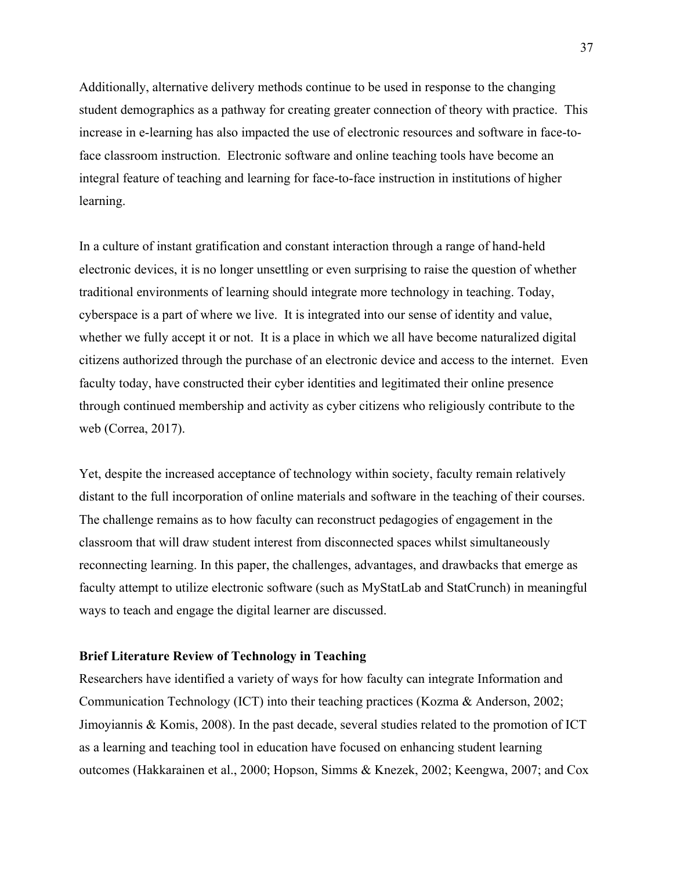Additionally, alternative delivery methods continue to be used in response to the changing student demographics as a pathway for creating greater connection of theory with practice. This increase in e-learning has also impacted the use of electronic resources and software in face-toface classroom instruction. Electronic software and online teaching tools have become an integral feature of teaching and learning for face-to-face instruction in institutions of higher learning.

In a culture of instant gratification and constant interaction through a range of hand-held electronic devices, it is no longer unsettling or even surprising to raise the question of whether traditional environments of learning should integrate more technology in teaching. Today, cyberspace is a part of where we live. It is integrated into our sense of identity and value, whether we fully accept it or not. It is a place in which we all have become naturalized digital citizens authorized through the purchase of an electronic device and access to the internet. Even faculty today, have constructed their cyber identities and legitimated their online presence through continued membership and activity as cyber citizens who religiously contribute to the web (Correa, 2017).

Yet, despite the increased acceptance of technology within society, faculty remain relatively distant to the full incorporation of online materials and software in the teaching of their courses. The challenge remains as to how faculty can reconstruct pedagogies of engagement in the classroom that will draw student interest from disconnected spaces whilst simultaneously reconnecting learning. In this paper, the challenges, advantages, and drawbacks that emerge as faculty attempt to utilize electronic software (such as MyStatLab and StatCrunch) in meaningful ways to teach and engage the digital learner are discussed.

### **Brief Literature Review of Technology in Teaching**

Researchers have identified a variety of ways for how faculty can integrate Information and Communication Technology (ICT) into their teaching practices (Kozma & Anderson, 2002; Jimoyiannis & Komis, 2008). In the past decade, several studies related to the promotion of ICT as a learning and teaching tool in education have focused on enhancing student learning outcomes (Hakkarainen et al., 2000; Hopson, Simms & Knezek, 2002; Keengwa, 2007; and Cox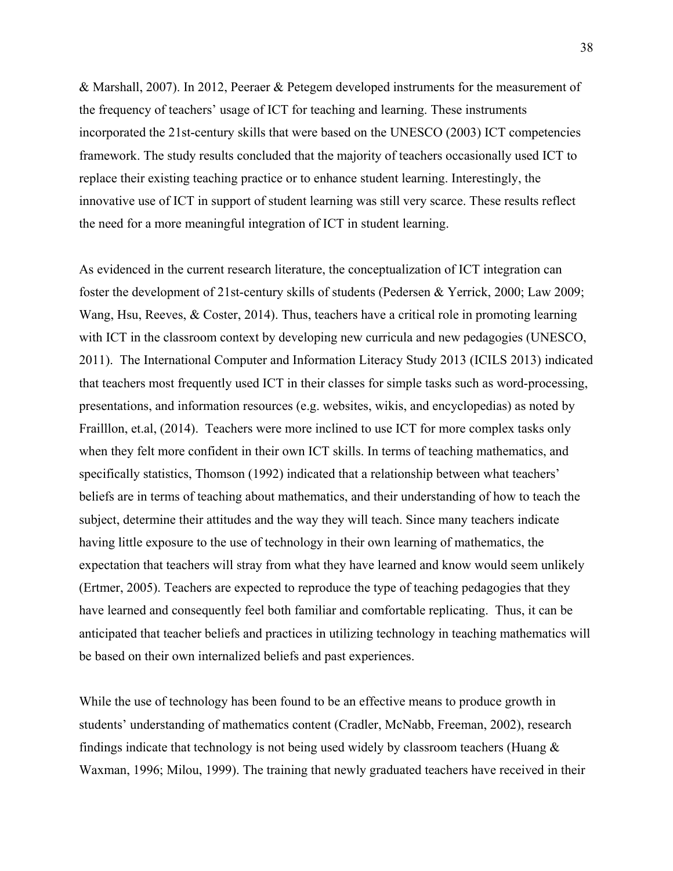& Marshall, 2007). In 2012, Peeraer & Petegem developed instruments for the measurement of the frequency of teachers' usage of ICT for teaching and learning. These instruments incorporated the 21st-century skills that were based on the UNESCO (2003) ICT competencies framework. The study results concluded that the majority of teachers occasionally used ICT to replace their existing teaching practice or to enhance student learning. Interestingly, the innovative use of ICT in support of student learning was still very scarce. These results reflect the need for a more meaningful integration of ICT in student learning.

As evidenced in the current research literature, the conceptualization of ICT integration can foster the development of 21st-century skills of students (Pedersen & Yerrick, 2000; Law 2009; Wang, Hsu, Reeves, & Coster, 2014). Thus, teachers have a critical role in promoting learning with ICT in the classroom context by developing new curricula and new pedagogies (UNESCO, 2011). The International Computer and Information Literacy Study 2013 (ICILS 2013) indicated that teachers most frequently used ICT in their classes for simple tasks such as word-processing, presentations, and information resources (e.g. websites, wikis, and encyclopedias) as noted by Frailllon, et.al, (2014). Teachers were more inclined to use ICT for more complex tasks only when they felt more confident in their own ICT skills. In terms of teaching mathematics, and specifically statistics, Thomson (1992) indicated that a relationship between what teachers' beliefs are in terms of teaching about mathematics, and their understanding of how to teach the subject, determine their attitudes and the way they will teach. Since many teachers indicate having little exposure to the use of technology in their own learning of mathematics, the expectation that teachers will stray from what they have learned and know would seem unlikely (Ertmer, 2005). Teachers are expected to reproduce the type of teaching pedagogies that they have learned and consequently feel both familiar and comfortable replicating. Thus, it can be anticipated that teacher beliefs and practices in utilizing technology in teaching mathematics will be based on their own internalized beliefs and past experiences.

While the use of technology has been found to be an effective means to produce growth in students' understanding of mathematics content (Cradler, McNabb, Freeman, 2002), research findings indicate that technology is not being used widely by classroom teachers (Huang  $\&$ Waxman, 1996; Milou, 1999). The training that newly graduated teachers have received in their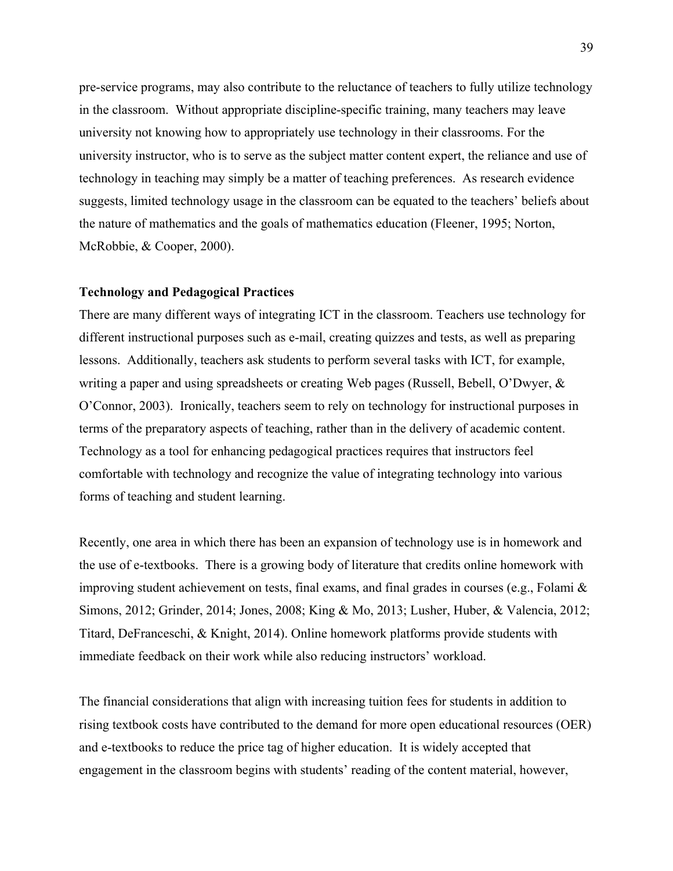pre-service programs, may also contribute to the reluctance of teachers to fully utilize technology in the classroom. Without appropriate discipline-specific training, many teachers may leave university not knowing how to appropriately use technology in their classrooms. For the university instructor, who is to serve as the subject matter content expert, the reliance and use of technology in teaching may simply be a matter of teaching preferences. As research evidence suggests, limited technology usage in the classroom can be equated to the teachers' beliefs about the nature of mathematics and the goals of mathematics education (Fleener, 1995; Norton, McRobbie, & Cooper, 2000).

#### **Technology and Pedagogical Practices**

There are many different ways of integrating ICT in the classroom. Teachers use technology for different instructional purposes such as e-mail, creating quizzes and tests, as well as preparing lessons. Additionally, teachers ask students to perform several tasks with ICT, for example, writing a paper and using spreadsheets or creating Web pages (Russell, Bebell, O'Dwyer, & O'Connor, 2003). Ironically, teachers seem to rely on technology for instructional purposes in terms of the preparatory aspects of teaching, rather than in the delivery of academic content. Technology as a tool for enhancing pedagogical practices requires that instructors feel comfortable with technology and recognize the value of integrating technology into various forms of teaching and student learning.

Recently, one area in which there has been an expansion of technology use is in homework and the use of e-textbooks. There is a growing body of literature that credits online homework with improving student achievement on tests, final exams, and final grades in courses (e.g., Folami  $\&$ Simons, 2012; Grinder, 2014; Jones, 2008; King & Mo, 2013; Lusher, Huber, & Valencia, 2012; Titard, DeFranceschi, & Knight, 2014). Online homework platforms provide students with immediate feedback on their work while also reducing instructors' workload.

The financial considerations that align with increasing tuition fees for students in addition to rising textbook costs have contributed to the demand for more open educational resources (OER) and e-textbooks to reduce the price tag of higher education. It is widely accepted that engagement in the classroom begins with students' reading of the content material, however,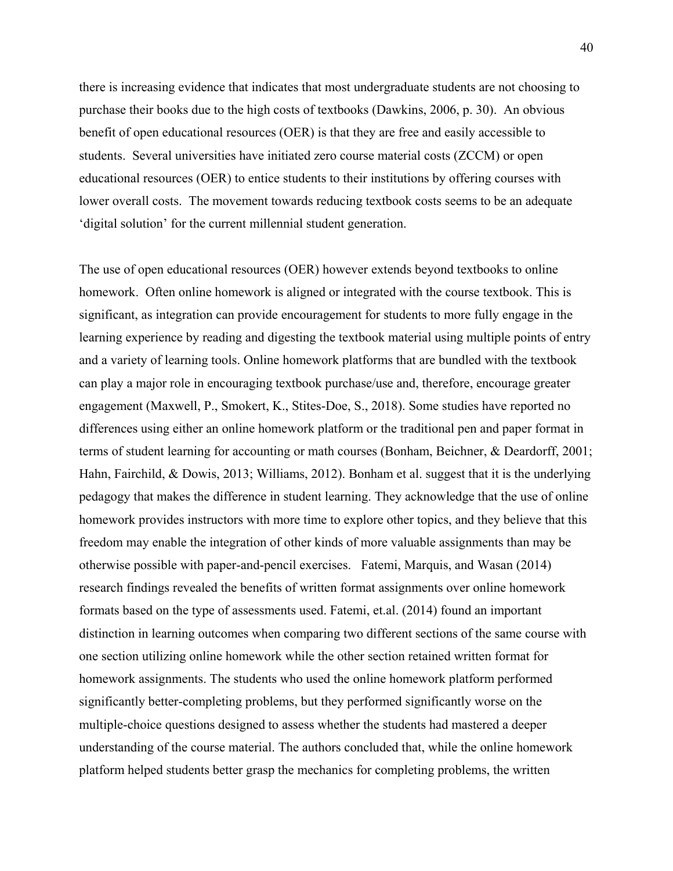there is increasing evidence that indicates that most undergraduate students are not choosing to purchase their books due to the high costs of textbooks (Dawkins, 2006, p. 30). An obvious benefit of open educational resources (OER) is that they are free and easily accessible to students. Several universities have initiated zero course material costs (ZCCM) or open educational resources (OER) to entice students to their institutions by offering courses with lower overall costs. The movement towards reducing textbook costs seems to be an adequate 'digital solution' for the current millennial student generation.

The use of open educational resources (OER) however extends beyond textbooks to online homework. Often online homework is aligned or integrated with the course textbook. This is significant, as integration can provide encouragement for students to more fully engage in the learning experience by reading and digesting the textbook material using multiple points of entry and a variety of learning tools. Online homework platforms that are bundled with the textbook can play a major role in encouraging textbook purchase/use and, therefore, encourage greater engagement (Maxwell, P., Smokert, K., Stites-Doe, S., 2018). Some studies have reported no differences using either an online homework platform or the traditional pen and paper format in terms of student learning for accounting or math courses (Bonham, Beichner, & Deardorff, 2001; Hahn, Fairchild, & Dowis, 2013; Williams, 2012). Bonham et al. suggest that it is the underlying pedagogy that makes the difference in student learning. They acknowledge that the use of online homework provides instructors with more time to explore other topics, and they believe that this freedom may enable the integration of other kinds of more valuable assignments than may be otherwise possible with paper-and-pencil exercises. Fatemi, Marquis, and Wasan (2014) research findings revealed the benefits of written format assignments over online homework formats based on the type of assessments used. Fatemi, et.al. (2014) found an important distinction in learning outcomes when comparing two different sections of the same course with one section utilizing online homework while the other section retained written format for homework assignments. The students who used the online homework platform performed significantly better-completing problems, but they performed significantly worse on the multiple-choice questions designed to assess whether the students had mastered a deeper understanding of the course material. The authors concluded that, while the online homework platform helped students better grasp the mechanics for completing problems, the written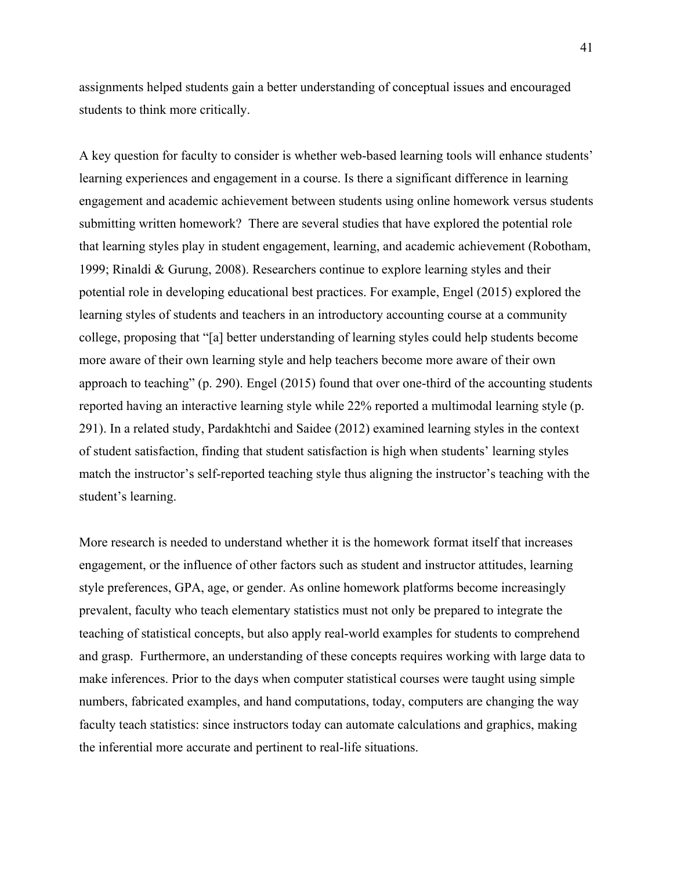assignments helped students gain a better understanding of conceptual issues and encouraged students to think more critically.

A key question for faculty to consider is whether web-based learning tools will enhance students' learning experiences and engagement in a course. Is there a significant difference in learning engagement and academic achievement between students using online homework versus students submitting written homework? There are several studies that have explored the potential role that learning styles play in student engagement, learning, and academic achievement (Robotham, 1999; Rinaldi & Gurung, 2008). Researchers continue to explore learning styles and their potential role in developing educational best practices. For example, Engel (2015) explored the learning styles of students and teachers in an introductory accounting course at a community college, proposing that "[a] better understanding of learning styles could help students become more aware of their own learning style and help teachers become more aware of their own approach to teaching" (p. 290). Engel (2015) found that over one-third of the accounting students reported having an interactive learning style while 22% reported a multimodal learning style (p. 291). In a related study, Pardakhtchi and Saidee (2012) examined learning styles in the context of student satisfaction, finding that student satisfaction is high when students' learning styles match the instructor's self-reported teaching style thus aligning the instructor's teaching with the student's learning.

More research is needed to understand whether it is the homework format itself that increases engagement, or the influence of other factors such as student and instructor attitudes, learning style preferences, GPA, age, or gender. As online homework platforms become increasingly prevalent, faculty who teach elementary statistics must not only be prepared to integrate the teaching of statistical concepts, but also apply real-world examples for students to comprehend and grasp. Furthermore, an understanding of these concepts requires working with large data to make inferences. Prior to the days when computer statistical courses were taught using simple numbers, fabricated examples, and hand computations, today, computers are changing the way faculty teach statistics: since instructors today can automate calculations and graphics, making the inferential more accurate and pertinent to real-life situations.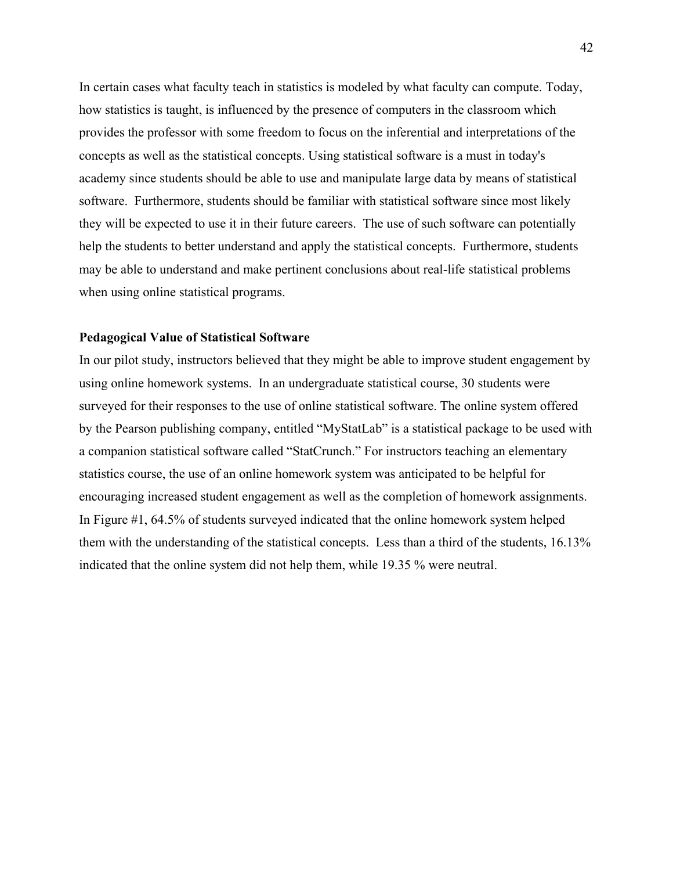In certain cases what faculty teach in statistics is modeled by what faculty can compute. Today, how statistics is taught, is influenced by the presence of computers in the classroom which provides the professor with some freedom to focus on the inferential and interpretations of the concepts as well as the statistical concepts. Using statistical software is a must in today's academy since students should be able to use and manipulate large data by means of statistical software. Furthermore, students should be familiar with statistical software since most likely they will be expected to use it in their future careers. The use of such software can potentially help the students to better understand and apply the statistical concepts. Furthermore, students may be able to understand and make pertinent conclusions about real-life statistical problems when using online statistical programs.

## **Pedagogical Value of Statistical Software**

In our pilot study, instructors believed that they might be able to improve student engagement by using online homework systems. In an undergraduate statistical course, 30 students were surveyed for their responses to the use of online statistical software. The online system offered by the Pearson publishing company, entitled "MyStatLab" is a statistical package to be used with a companion statistical software called "StatCrunch." For instructors teaching an elementary statistics course, the use of an online homework system was anticipated to be helpful for encouraging increased student engagement as well as the completion of homework assignments. In Figure #1, 64.5% of students surveyed indicated that the online homework system helped them with the understanding of the statistical concepts. Less than a third of the students, 16.13% indicated that the online system did not help them, while 19.35 % were neutral.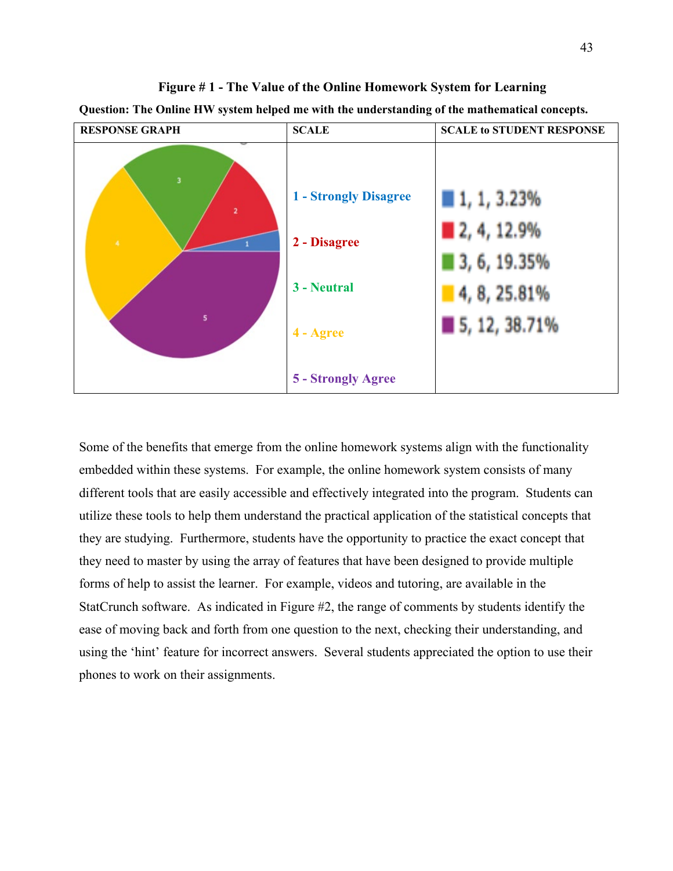

**Figure # 1 - The Value of the Online Homework System for Learning Question: The Online HW system helped me with the understanding of the mathematical concepts.**

Some of the benefits that emerge from the online homework systems align with the functionality embedded within these systems. For example, the online homework system consists of many different tools that are easily accessible and effectively integrated into the program. Students can utilize these tools to help them understand the practical application of the statistical concepts that they are studying. Furthermore, students have the opportunity to practice the exact concept that they need to master by using the array of features that have been designed to provide multiple forms of help to assist the learner. For example, videos and tutoring, are available in the StatCrunch software. As indicated in Figure #2, the range of comments by students identify the ease of moving back and forth from one question to the next, checking their understanding, and using the 'hint' feature for incorrect answers. Several students appreciated the option to use their phones to work on their assignments.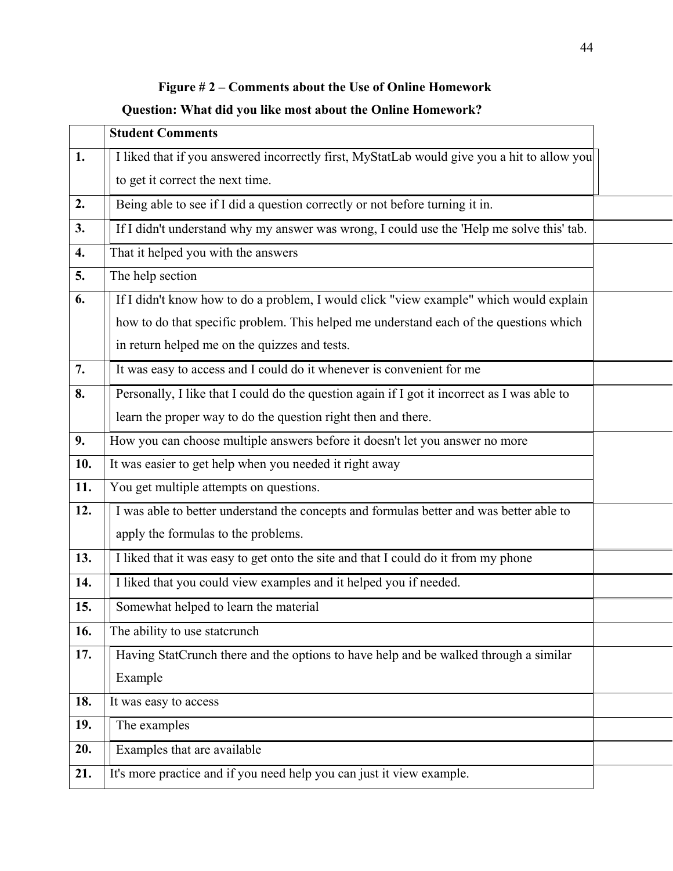# **Figure # 2 – Comments about the Use of Online Homework**

# **Question: What did you like most about the Online Homework?**

|                  | <b>Student Comments</b>                                                                      |  |
|------------------|----------------------------------------------------------------------------------------------|--|
| 1.               | I liked that if you answered incorrectly first, MyStatLab would give you a hit to allow you  |  |
|                  | to get it correct the next time.                                                             |  |
| 2.               | Being able to see if I did a question correctly or not before turning it in.                 |  |
| 3.               | If I didn't understand why my answer was wrong, I could use the 'Help me solve this' tab.    |  |
| $\overline{4}$ . | That it helped you with the answers                                                          |  |
| 5.               | The help section                                                                             |  |
| 6.               | If I didn't know how to do a problem, I would click "view example" which would explain       |  |
|                  | how to do that specific problem. This helped me understand each of the questions which       |  |
|                  | in return helped me on the quizzes and tests.                                                |  |
| 7.               | It was easy to access and I could do it whenever is convenient for me                        |  |
| 8.               | Personally, I like that I could do the question again if I got it incorrect as I was able to |  |
|                  | learn the proper way to do the question right then and there.                                |  |
| 9.               | How you can choose multiple answers before it doesn't let you answer no more                 |  |
| 10.              | It was easier to get help when you needed it right away                                      |  |
| 11.              | You get multiple attempts on questions.                                                      |  |
| 12.              | I was able to better understand the concepts and formulas better and was better able to      |  |
|                  | apply the formulas to the problems.                                                          |  |
| 13.              | I liked that it was easy to get onto the site and that I could do it from my phone           |  |
| 14.              | I liked that you could view examples and it helped you if needed.                            |  |
| 15.              | Somewhat helped to learn the material                                                        |  |
| 16.              | The ability to use statcrunch                                                                |  |
| 17.              | Having StatCrunch there and the options to have help and be walked through a similar         |  |
|                  | Example                                                                                      |  |
| 18.              | It was easy to access                                                                        |  |
| 19.              | The examples                                                                                 |  |
| 20.              | Examples that are available                                                                  |  |
| 21.              | It's more practice and if you need help you can just it view example.                        |  |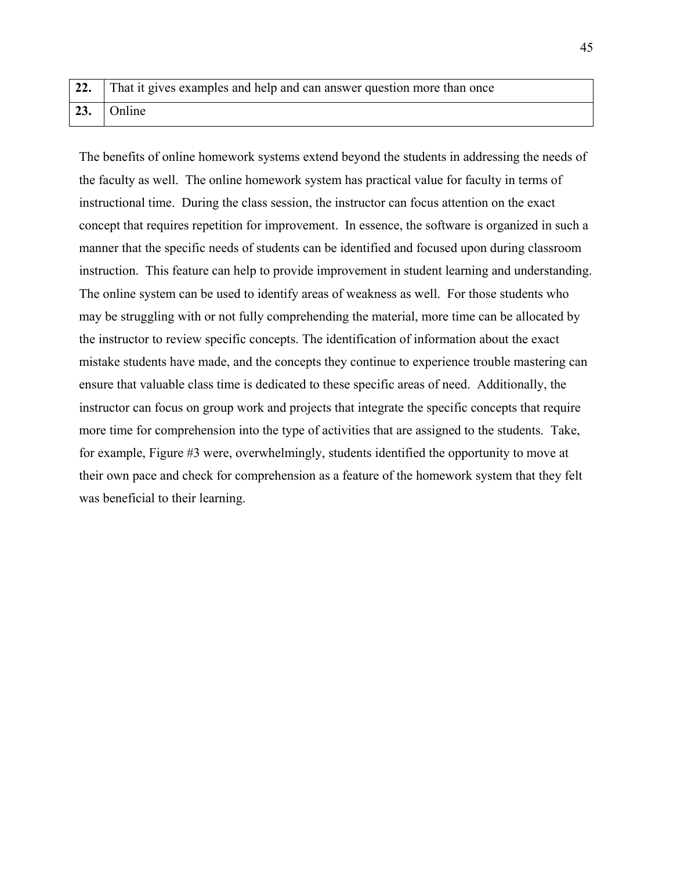| 22. That it gives examples and help and can answer question more than once |
|----------------------------------------------------------------------------|
| $23.$ Online                                                               |

The benefits of online homework systems extend beyond the students in addressing the needs of the faculty as well. The online homework system has practical value for faculty in terms of instructional time. During the class session, the instructor can focus attention on the exact concept that requires repetition for improvement. In essence, the software is organized in such a manner that the specific needs of students can be identified and focused upon during classroom instruction. This feature can help to provide improvement in student learning and understanding. The online system can be used to identify areas of weakness as well. For those students who may be struggling with or not fully comprehending the material, more time can be allocated by the instructor to review specific concepts. The identification of information about the exact mistake students have made, and the concepts they continue to experience trouble mastering can ensure that valuable class time is dedicated to these specific areas of need. Additionally, the instructor can focus on group work and projects that integrate the specific concepts that require more time for comprehension into the type of activities that are assigned to the students. Take, for example, Figure #3 were, overwhelmingly, students identified the opportunity to move at their own pace and check for comprehension as a feature of the homework system that they felt was beneficial to their learning.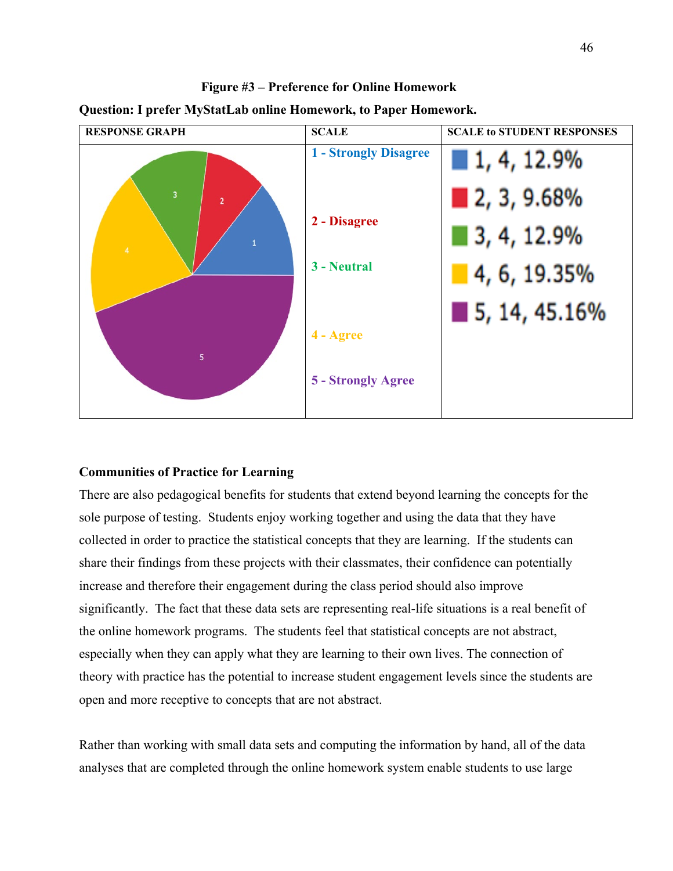

## **Figure #3 – Preference for Online Homework**

**Question: I prefer MyStatLab online Homework, to Paper Homework.**

# **Communities of Practice for Learning**

There are also pedagogical benefits for students that extend beyond learning the concepts for the sole purpose of testing. Students enjoy working together and using the data that they have collected in order to practice the statistical concepts that they are learning. If the students can share their findings from these projects with their classmates, their confidence can potentially increase and therefore their engagement during the class period should also improve significantly. The fact that these data sets are representing real-life situations is a real benefit of the online homework programs. The students feel that statistical concepts are not abstract, especially when they can apply what they are learning to their own lives. The connection of theory with practice has the potential to increase student engagement levels since the students are open and more receptive to concepts that are not abstract.

Rather than working with small data sets and computing the information by hand, all of the data analyses that are completed through the online homework system enable students to use large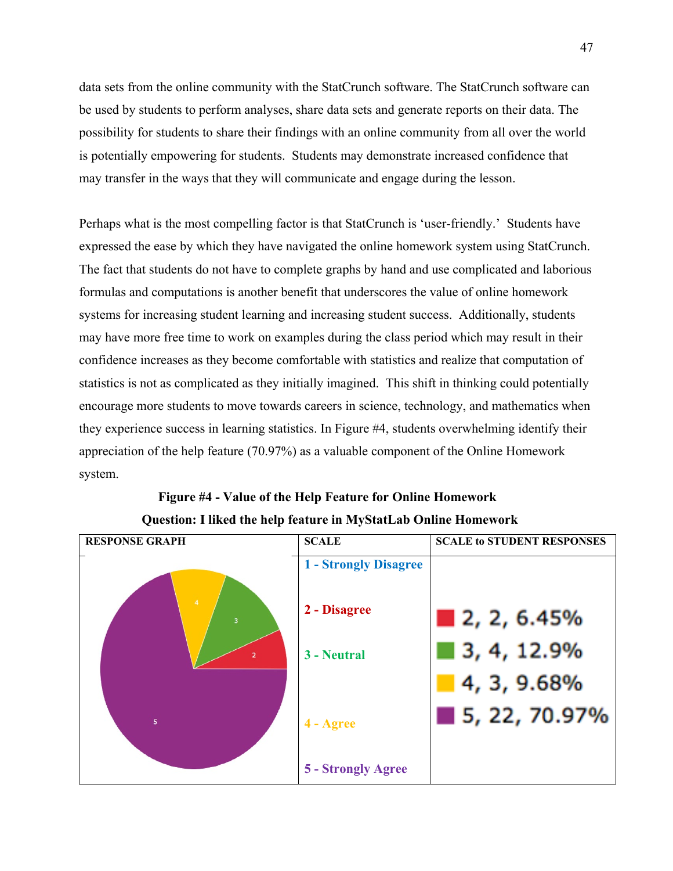data sets from the online community with the StatCrunch software. The StatCrunch software can be used by students to perform analyses, share data sets and generate reports on their data. The possibility for students to share their findings with an online community from all over the world is potentially empowering for students. Students may demonstrate increased confidence that may transfer in the ways that they will communicate and engage during the lesson.

Perhaps what is the most compelling factor is that StatCrunch is 'user-friendly.' Students have expressed the ease by which they have navigated the online homework system using StatCrunch. The fact that students do not have to complete graphs by hand and use complicated and laborious formulas and computations is another benefit that underscores the value of online homework systems for increasing student learning and increasing student success. Additionally, students may have more free time to work on examples during the class period which may result in their confidence increases as they become comfortable with statistics and realize that computation of statistics is not as complicated as they initially imagined. This shift in thinking could potentially encourage more students to move towards careers in science, technology, and mathematics when they experience success in learning statistics. In Figure #4, students overwhelming identify their appreciation of the help feature (70.97%) as a valuable component of the Online Homework system.



# **Figure #4 - Value of the Help Feature for Online Homework Question: I liked the help feature in MyStatLab Online Homework**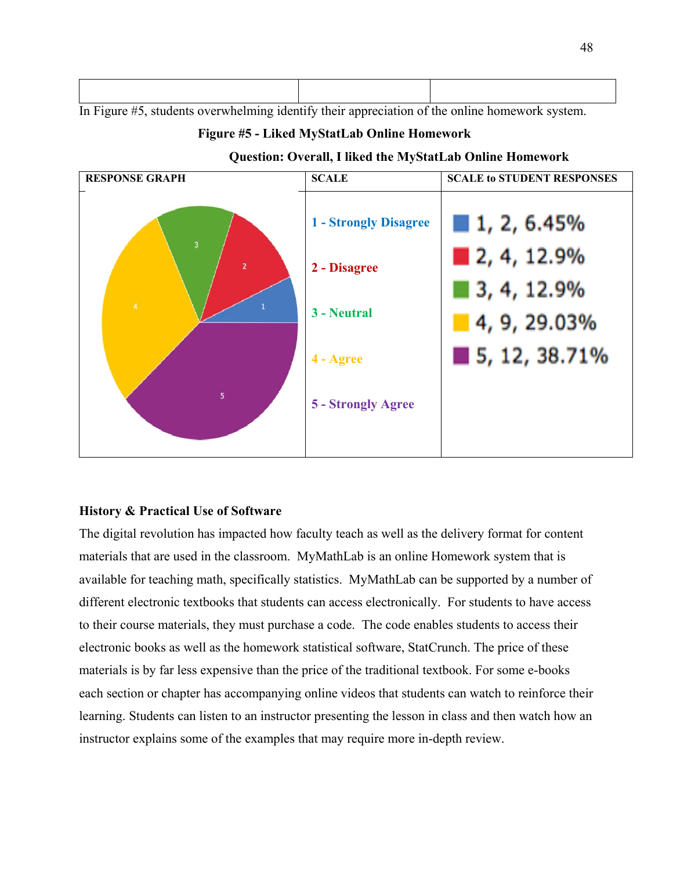In Figure #5, students overwhelming identify their appreciation of the online homework system.

## **Figure #5 - Liked MyStatLab Online Homework**



**Question: Overall, I liked the MyStatLab Online Homework**

# **History & Practical Use of Software**

The digital revolution has impacted how faculty teach as well as the delivery format for content materials that are used in the classroom. MyMathLab is an online Homework system that is available for teaching math, specifically statistics. MyMathLab can be supported by a number of different electronic textbooks that students can access electronically. For students to have access to their course materials, they must purchase a code. The code enables students to access their electronic books as well as the homework statistical software, StatCrunch. The price of these materials is by far less expensive than the price of the traditional textbook. For some e-books each section or chapter has accompanying online videos that students can watch to reinforce their learning. Students can listen to an instructor presenting the lesson in class and then watch how an instructor explains some of the examples that may require more in-depth review.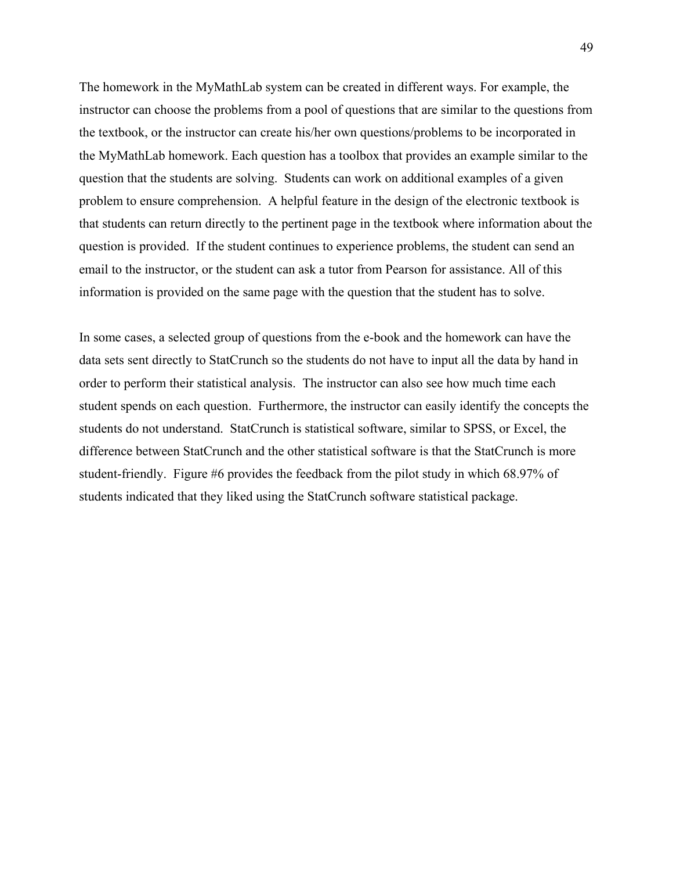The homework in the MyMathLab system can be created in different ways. For example, the instructor can choose the problems from a pool of questions that are similar to the questions from the textbook, or the instructor can create his/her own questions/problems to be incorporated in the MyMathLab homework. Each question has a toolbox that provides an example similar to the question that the students are solving. Students can work on additional examples of a given problem to ensure comprehension. A helpful feature in the design of the electronic textbook is that students can return directly to the pertinent page in the textbook where information about the question is provided. If the student continues to experience problems, the student can send an email to the instructor, or the student can ask a tutor from Pearson for assistance. All of this information is provided on the same page with the question that the student has to solve.

In some cases, a selected group of questions from the e-book and the homework can have the data sets sent directly to StatCrunch so the students do not have to input all the data by hand in order to perform their statistical analysis. The instructor can also see how much time each student spends on each question. Furthermore, the instructor can easily identify the concepts the students do not understand. StatCrunch is statistical software, similar to SPSS, or Excel, the difference between StatCrunch and the other statistical software is that the StatCrunch is more student-friendly. Figure #6 provides the feedback from the pilot study in which 68.97% of students indicated that they liked using the StatCrunch software statistical package.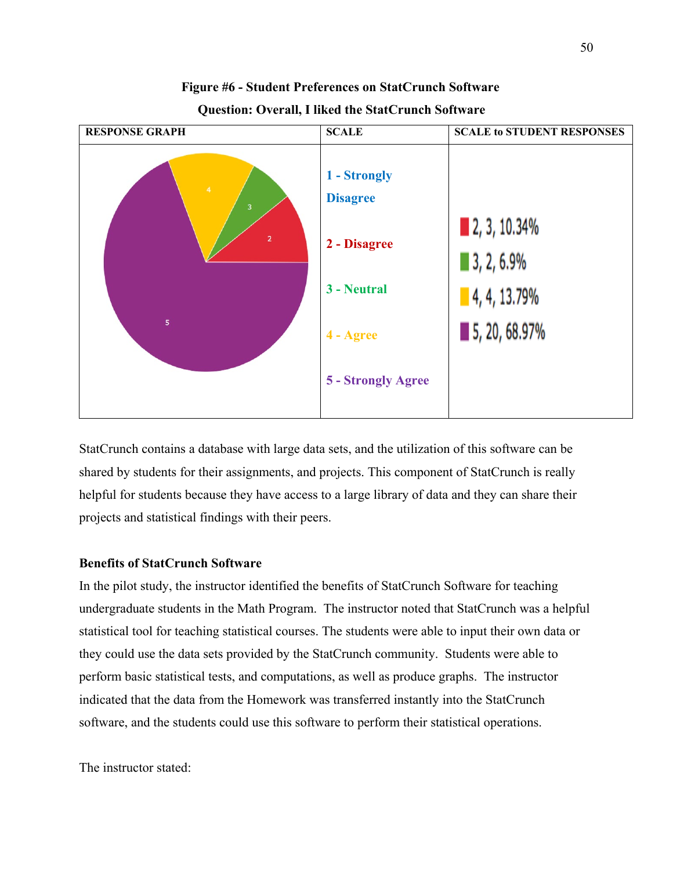

# **Figure #6 - Student Preferences on StatCrunch Software**

 **Question: Overall, I liked the StatCrunch Software**

StatCrunch contains a database with large data sets, and the utilization of this software can be shared by students for their assignments, and projects. This component of StatCrunch is really helpful for students because they have access to a large library of data and they can share their projects and statistical findings with their peers.

# **Benefits of StatCrunch Software**

In the pilot study, the instructor identified the benefits of StatCrunch Software for teaching undergraduate students in the Math Program. The instructor noted that StatCrunch was a helpful statistical tool for teaching statistical courses. The students were able to input their own data or they could use the data sets provided by the StatCrunch community. Students were able to perform basic statistical tests, and computations, as well as produce graphs. The instructor indicated that the data from the Homework was transferred instantly into the StatCrunch software, and the students could use this software to perform their statistical operations.

The instructor stated: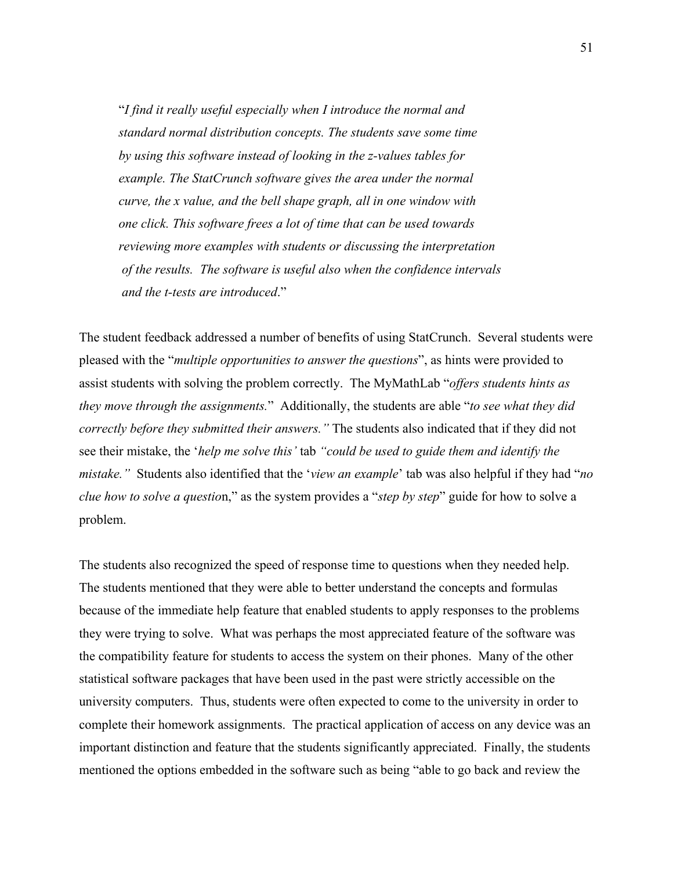"*I find it really useful especially when I introduce the normal and standard normal distribution concepts. The students save some time by using this software instead of looking in the z-values tables for example. The StatCrunch software gives the area under the normal curve, the x value, and the bell shape graph, all in one window with one click. This software frees a lot of time that can be used towards reviewing more examples with students or discussing the interpretation of the results. The software is useful also when the confidence intervals and the t-tests are introduced*."

The student feedback addressed a number of benefits of using StatCrunch. Several students were pleased with the "*multiple opportunities to answer the questions*", as hints were provided to assist students with solving the problem correctly. The MyMathLab "*offers students hints as they move through the assignments.*" Additionally, the students are able "*to see what they did correctly before they submitted their answers."* The students also indicated that if they did not see their mistake, the '*help me solve this'* tab *"could be used to guide them and identify the mistake."* Students also identified that the '*view an example*' tab was also helpful if they had "*no clue how to solve a questio*n," as the system provides a "*step by step*" guide for how to solve a problem.

The students also recognized the speed of response time to questions when they needed help. The students mentioned that they were able to better understand the concepts and formulas because of the immediate help feature that enabled students to apply responses to the problems they were trying to solve. What was perhaps the most appreciated feature of the software was the compatibility feature for students to access the system on their phones. Many of the other statistical software packages that have been used in the past were strictly accessible on the university computers. Thus, students were often expected to come to the university in order to complete their homework assignments. The practical application of access on any device was an important distinction and feature that the students significantly appreciated. Finally, the students mentioned the options embedded in the software such as being "able to go back and review the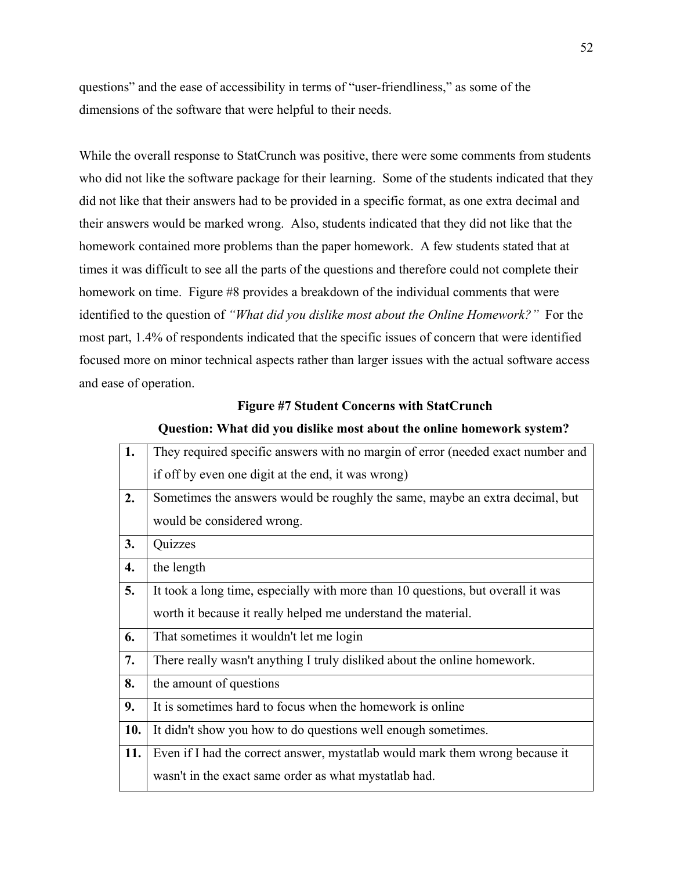questions" and the ease of accessibility in terms of "user-friendliness," as some of the dimensions of the software that were helpful to their needs.

While the overall response to StatCrunch was positive, there were some comments from students who did not like the software package for their learning. Some of the students indicated that they did not like that their answers had to be provided in a specific format, as one extra decimal and their answers would be marked wrong. Also, students indicated that they did not like that the homework contained more problems than the paper homework. A few students stated that at times it was difficult to see all the parts of the questions and therefore could not complete their homework on time. Figure #8 provides a breakdown of the individual comments that were identified to the question of *"What did you dislike most about the Online Homework?"* For the most part, 1.4% of respondents indicated that the specific issues of concern that were identified focused more on minor technical aspects rather than larger issues with the actual software access and ease of operation.

## **Figure #7 Student Concerns with StatCrunch**

|  | Question: What did you dislike most about the online homework system? |  |
|--|-----------------------------------------------------------------------|--|
|  |                                                                       |  |

| 1.  | They required specific answers with no margin of error (needed exact number and |  |  |
|-----|---------------------------------------------------------------------------------|--|--|
|     | if off by even one digit at the end, it was wrong)                              |  |  |
| 2.  | Sometimes the answers would be roughly the same, maybe an extra decimal, but    |  |  |
|     | would be considered wrong.                                                      |  |  |
| 3.  | Quizzes                                                                         |  |  |
| 4.  | the length                                                                      |  |  |
| 5.  | It took a long time, especially with more than 10 questions, but overall it was |  |  |
|     | worth it because it really helped me understand the material.                   |  |  |
| 6.  | That sometimes it wouldn't let me login                                         |  |  |
| 7.  | There really wasn't anything I truly disliked about the online homework.        |  |  |
| 8.  | the amount of questions                                                         |  |  |
| 9.  | It is sometimes hard to focus when the homework is online                       |  |  |
| 10. | It didn't show you how to do questions well enough sometimes.                   |  |  |
| 11. | Even if I had the correct answer, mystatlab would mark them wrong because it    |  |  |
|     | wasn't in the exact same order as what mystatlab had.                           |  |  |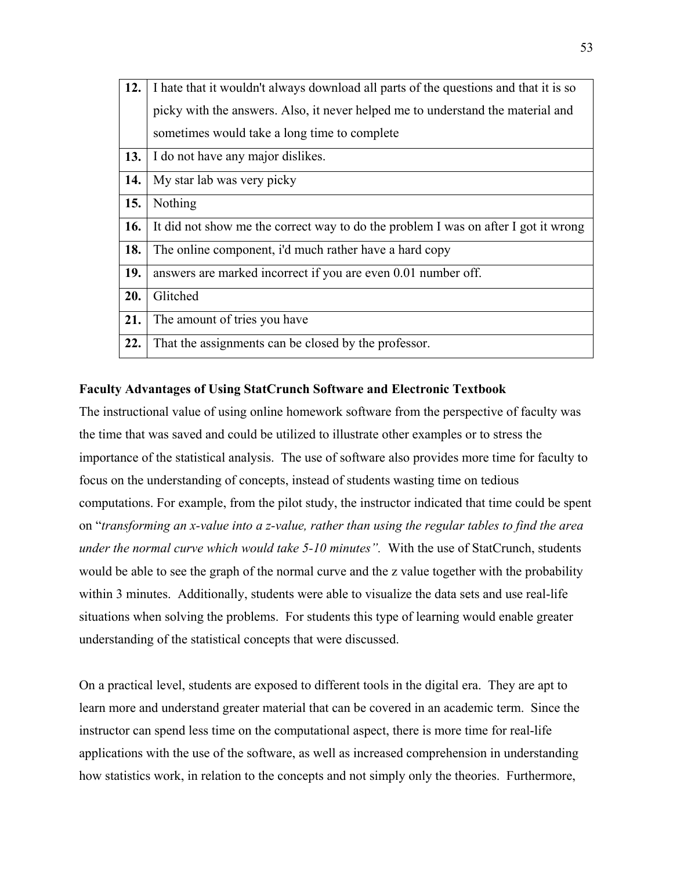| 12. | I hate that it wouldn't always download all parts of the questions and that it is so |  |  |
|-----|--------------------------------------------------------------------------------------|--|--|
|     | picky with the answers. Also, it never helped me to understand the material and      |  |  |
|     | sometimes would take a long time to complete                                         |  |  |
| 13. | I do not have any major dislikes.                                                    |  |  |
| 14. | My star lab was very picky                                                           |  |  |
| 15. | Nothing                                                                              |  |  |
| 16. | It did not show me the correct way to do the problem I was on after I got it wrong   |  |  |
| 18. | The online component, i'd much rather have a hard copy                               |  |  |
| 19. | answers are marked incorrect if you are even 0.01 number off.                        |  |  |
| 20. | Glitched                                                                             |  |  |
| 21. | The amount of tries you have                                                         |  |  |
| 22. | That the assignments can be closed by the professor.                                 |  |  |

# **Faculty Advantages of Using StatCrunch Software and Electronic Textbook**

The instructional value of using online homework software from the perspective of faculty was the time that was saved and could be utilized to illustrate other examples or to stress the importance of the statistical analysis. The use of software also provides more time for faculty to focus on the understanding of concepts, instead of students wasting time on tedious computations. For example, from the pilot study, the instructor indicated that time could be spent on "*transforming an x-value into a z-value, rather than using the regular tables to find the area under the normal curve which would take 5-10 minutes".* With the use of StatCrunch, students would be able to see the graph of the normal curve and the z value together with the probability within 3 minutes. Additionally, students were able to visualize the data sets and use real-life situations when solving the problems. For students this type of learning would enable greater understanding of the statistical concepts that were discussed.

On a practical level, students are exposed to different tools in the digital era. They are apt to learn more and understand greater material that can be covered in an academic term. Since the instructor can spend less time on the computational aspect, there is more time for real-life applications with the use of the software, as well as increased comprehension in understanding how statistics work, in relation to the concepts and not simply only the theories. Furthermore,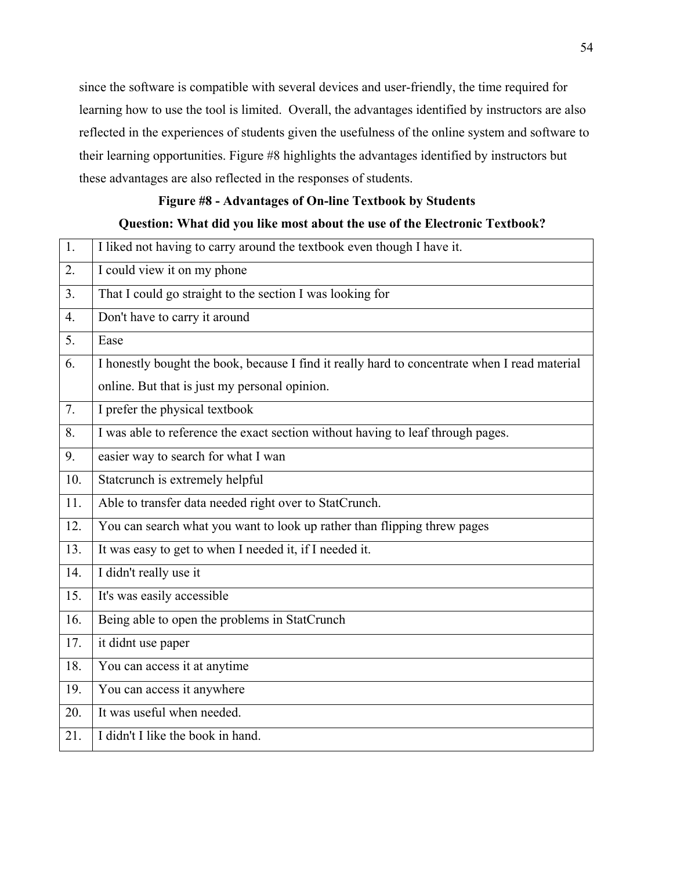since the software is compatible with several devices and user-friendly, the time required for learning how to use the tool is limited. Overall, the advantages identified by instructors are also reflected in the experiences of students given the usefulness of the online system and software to their learning opportunities. Figure #8 highlights the advantages identified by instructors but these advantages are also reflected in the responses of students.

# **Figure #8 - Advantages of On-line Textbook by Students**

# **Question: What did you like most about the use of the Electronic Textbook?**

| 1.               | I liked not having to carry around the textbook even though I have it.                        |
|------------------|-----------------------------------------------------------------------------------------------|
| 2.               | I could view it on my phone                                                                   |
| 3.               | That I could go straight to the section I was looking for                                     |
| $\overline{4}$ . | Don't have to carry it around                                                                 |
| 5.               | Ease                                                                                          |
| 6.               | I honestly bought the book, because I find it really hard to concentrate when I read material |
|                  | online. But that is just my personal opinion.                                                 |
| 7.               | I prefer the physical textbook                                                                |
| 8.               | I was able to reference the exact section without having to leaf through pages.               |
| 9.               | easier way to search for what I wan                                                           |
| 10.              | Statcrunch is extremely helpful                                                               |
| 11.              | Able to transfer data needed right over to StatCrunch.                                        |
| 12.              | You can search what you want to look up rather than flipping threw pages                      |
| 13.              | It was easy to get to when I needed it, if I needed it.                                       |
| 14.              | I didn't really use it                                                                        |
| 15.              | It's was easily accessible                                                                    |
| 16.              | Being able to open the problems in StatCrunch                                                 |
| 17.              | it didnt use paper                                                                            |
| 18.              | You can access it at anytime                                                                  |
| 19.              | You can access it anywhere                                                                    |
| 20.              | It was useful when needed.                                                                    |
| 21.              | I didn't I like the book in hand.                                                             |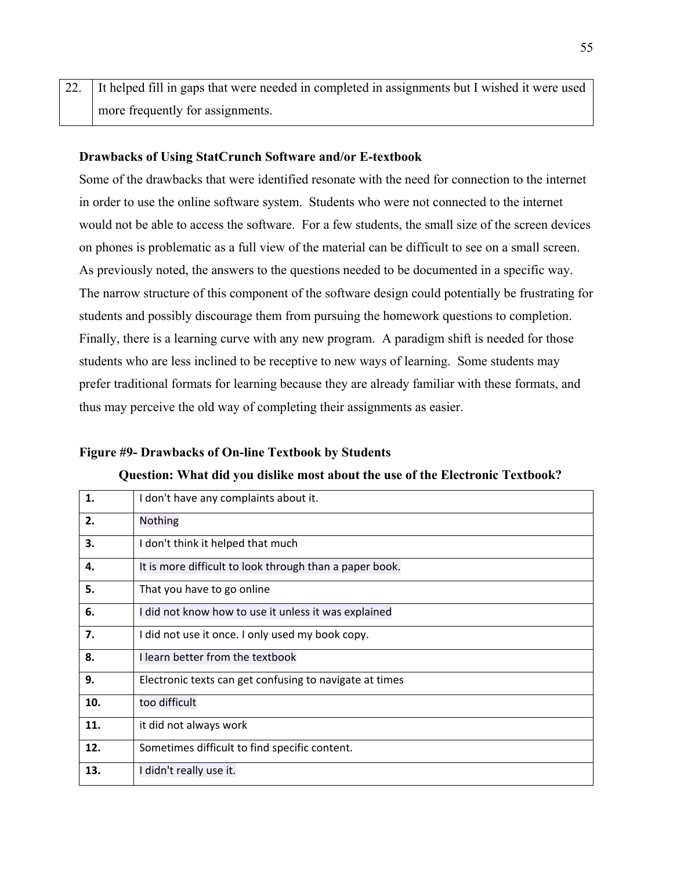22. It helped fill in gaps that were needed in completed in assignments but I wished it were used more frequently for assignments.

## **Drawbacks of Using StatCrunch Software and/or E-textbook**

Some of the drawbacks that were identified resonate with the need for connection to the internet in order to use the online software system. Students who were not connected to the internet would not be able to access the software. For a few students, the small size of the screen devices on phones is problematic as a full view of the material can be difficult to see on a small screen. As previously noted, the answers to the questions needed to be documented in a specific way. The narrow structure of this component of the software design could potentially be frustrating for students and possibly discourage them from pursuing the homework questions to completion. Finally, there is a learning curve with any new program. A paradigm shift is needed for those students who are less inclined to be receptive to new ways of learning. Some students may prefer traditional formats for learning because they are already familiar with these formats, and thus may perceive the old way of completing their assignments as easier.

### **Figure #9- Drawbacks of On-line Textbook by Students**

**Question: What did you dislike most about the use of the Electronic Textbook?**

| 1.  | I don't have any complaints about it.                   |
|-----|---------------------------------------------------------|
| 2.  | <b>Nothing</b>                                          |
| З.  | I don't think it helped that much                       |
| 4.  | It is more difficult to look through than a paper book. |
| 5.  | That you have to go online                              |
| 6.  | I did not know how to use it unless it was explained    |
| 7.  | I did not use it once. I only used my book copy.        |
| 8.  | I learn better from the textbook                        |
| 9.  | Electronic texts can get confusing to navigate at times |
| 10. | too difficult                                           |
| 11. | it did not always work                                  |
| 12. | Sometimes difficult to find specific content.           |
| 13. | I didn't really use it.                                 |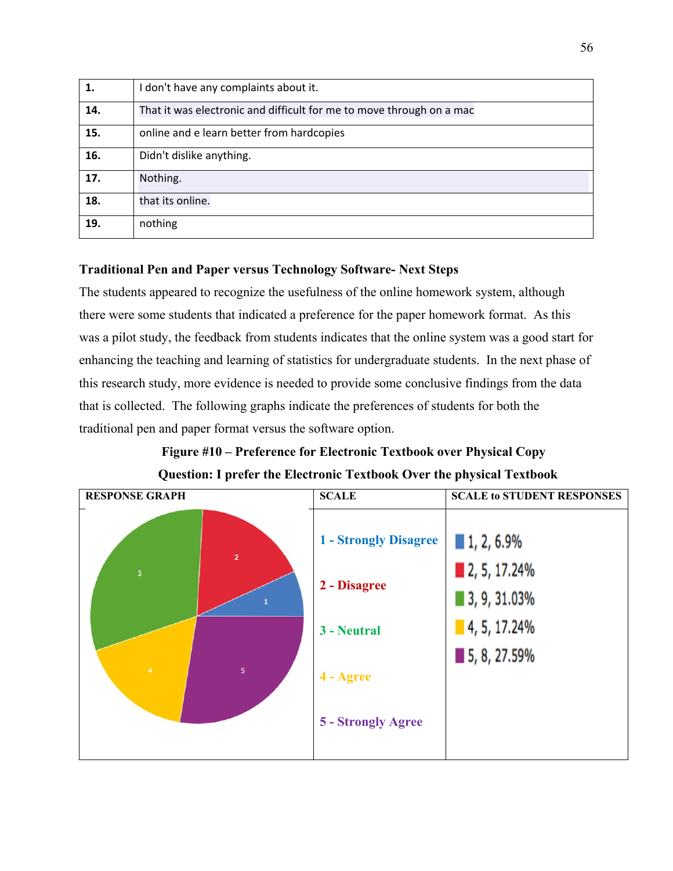| 1.  | I don't have any complaints about it.                                |
|-----|----------------------------------------------------------------------|
| 14. | That it was electronic and difficult for me to move through on a mac |
| 15. | online and e learn better from hardcopies                            |
| 16. | Didn't dislike anything.                                             |
| 17. | Nothing.                                                             |
| 18. | that its online.                                                     |
| 19. | nothing                                                              |

# **Traditional Pen and Paper versus Technology Software- Next Steps**

The students appeared to recognize the usefulness of the online homework system, although there were some students that indicated a preference for the paper homework format. As this was a pilot study, the feedback from students indicates that the online system was a good start for enhancing the teaching and learning of statistics for undergraduate students. In the next phase of this research study, more evidence is needed to provide some conclusive findings from the data that is collected. The following graphs indicate the preferences of students for both the traditional pen and paper format versus the software option.

# **Figure #10 – Preference for Electronic Textbook over Physical Copy Question: I prefer the Electronic Textbook Over the physical Textbook**

| <b>RESPONSE GRAPH</b> | <b>SCALE</b>                 | <b>SCALE to STUDENT RESPONSES</b> |
|-----------------------|------------------------------|-----------------------------------|
| $\overline{2}$        | <b>1 - Strongly Disagree</b> | ■ 1, 2, 6.9%                      |
| 3                     | 2 - Disagree                 | 2, 5, 17.24%<br>■ 3, 9, 31.03%    |
|                       | 3 - Neutral                  | $\blacksquare$ 4, 5, 17.24%       |
| $\overline{4}$<br>5   | 4 - Agree                    | ■ 5, 8, 27.59%                    |
|                       | 5 - Strongly Agree           |                                   |
|                       |                              |                                   |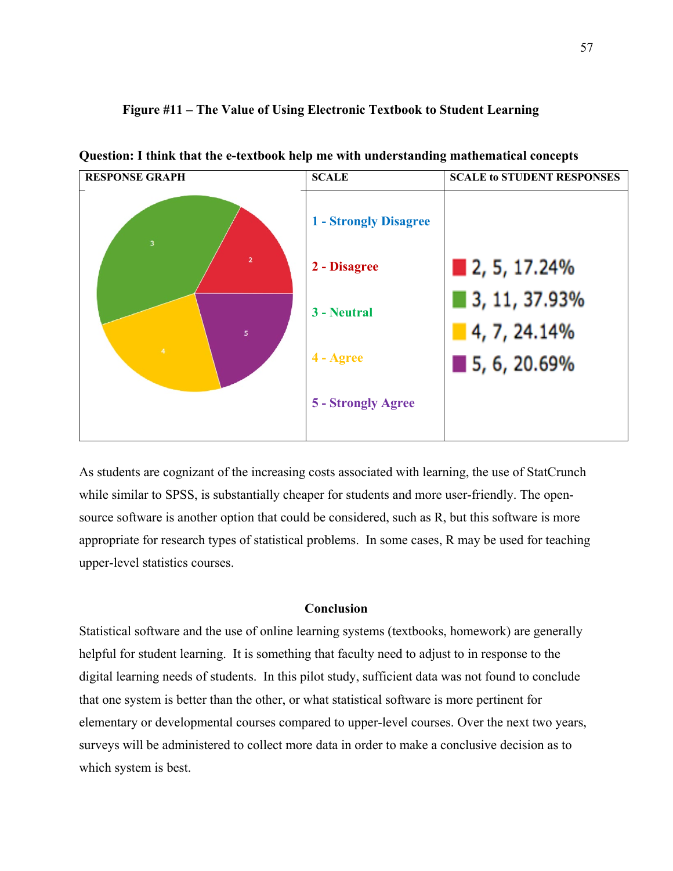

**Question: I think that the e-textbook help me with understanding mathematical concepts** 

**Figure #11 – The Value of Using Electronic Textbook to Student Learning**

As students are cognizant of the increasing costs associated with learning, the use of StatCrunch while similar to SPSS, is substantially cheaper for students and more user-friendly. The opensource software is another option that could be considered, such as R, but this software is more appropriate for research types of statistical problems. In some cases, R may be used for teaching upper-level statistics courses.

## **Conclusion**

Statistical software and the use of online learning systems (textbooks, homework) are generally helpful for student learning. It is something that faculty need to adjust to in response to the digital learning needs of students. In this pilot study, sufficient data was not found to conclude that one system is better than the other, or what statistical software is more pertinent for elementary or developmental courses compared to upper-level courses. Over the next two years, surveys will be administered to collect more data in order to make a conclusive decision as to which system is best.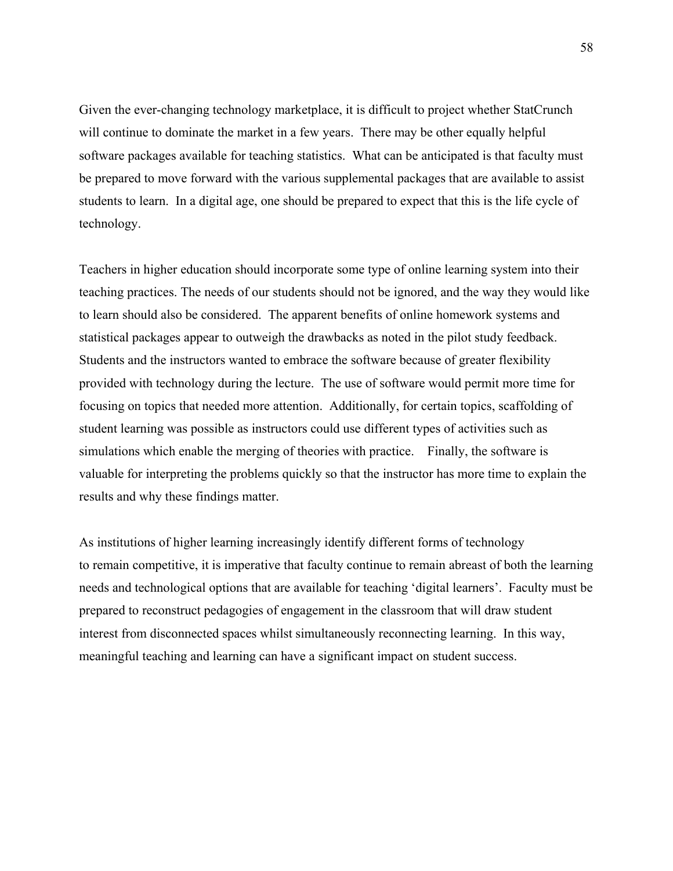Given the ever-changing technology marketplace, it is difficult to project whether StatCrunch will continue to dominate the market in a few years. There may be other equally helpful software packages available for teaching statistics. What can be anticipated is that faculty must be prepared to move forward with the various supplemental packages that are available to assist students to learn. In a digital age, one should be prepared to expect that this is the life cycle of technology.

Teachers in higher education should incorporate some type of online learning system into their teaching practices. The needs of our students should not be ignored, and the way they would like to learn should also be considered. The apparent benefits of online homework systems and statistical packages appear to outweigh the drawbacks as noted in the pilot study feedback. Students and the instructors wanted to embrace the software because of greater flexibility provided with technology during the lecture. The use of software would permit more time for focusing on topics that needed more attention. Additionally, for certain topics, scaffolding of student learning was possible as instructors could use different types of activities such as simulations which enable the merging of theories with practice. Finally, the software is valuable for interpreting the problems quickly so that the instructor has more time to explain the results and why these findings matter.

As institutions of higher learning increasingly identify different forms of technology to remain competitive, it is imperative that faculty continue to remain abreast of both the learning needs and technological options that are available for teaching 'digital learners'. Faculty must be prepared to reconstruct pedagogies of engagement in the classroom that will draw student interest from disconnected spaces whilst simultaneously reconnecting learning. In this way, meaningful teaching and learning can have a significant impact on student success.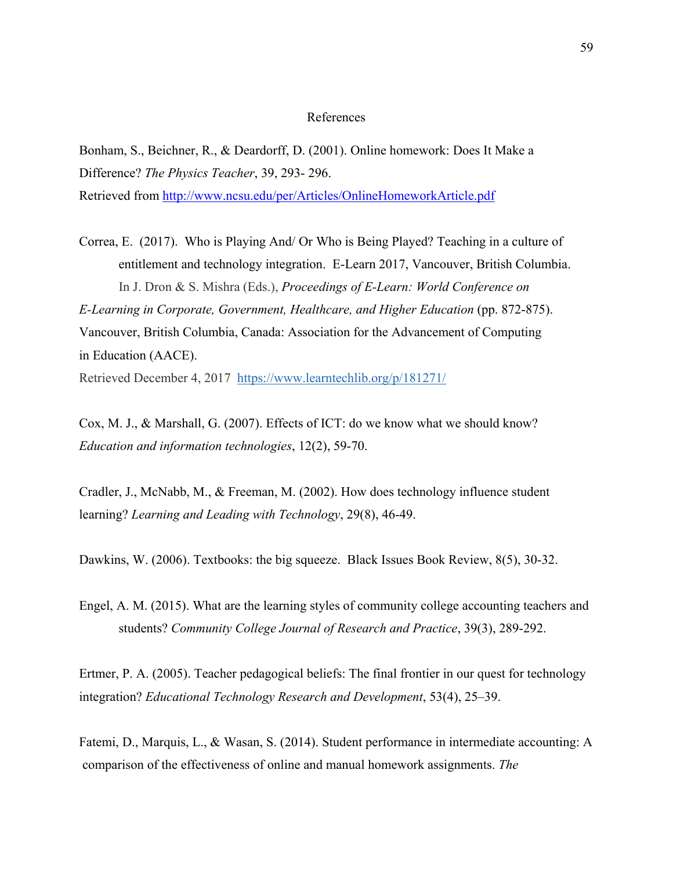#### References

Bonham, S., Beichner, R., & Deardorff, D. (2001). Online homework: Does It Make a Difference? *The Physics Teacher*, 39, 293- 296.

Retrieved from<http://www.ncsu.edu/per/Articles/OnlineHomeworkArticle.pdf>

Correa, E. (2017). Who is Playing And/ Or Who is Being Played? Teaching in a culture of entitlement and technology integration. E-Learn 2017, Vancouver, British Columbia. In J. Dron & S. Mishra (Eds.), *Proceedings of E-Learn: World Conference on E-Learning in Corporate, Government, Healthcare, and Higher Education* (pp. 872-875). Vancouver, British Columbia, Canada: Association for the Advancement of Computing in Education (AACE).

Retrieved December 4, 2017 <https://www.learntechlib.org/p/181271/>

Cox, M. J., & Marshall, G. (2007). Effects of ICT: do we know what we should know? *Education and information technologies*, 12(2), 59-70.

Cradler, J., McNabb, M., & Freeman, M. (2002). How does technology influence student learning? *Learning and Leading with Technology*, 29(8), 46-49.

Dawkins, W. (2006). Textbooks: the big squeeze. Black Issues Book Review, 8(5), 30-32.

Engel, A. M. (2015). What are the learning styles of community college accounting teachers and students? *Community College Journal of Research and Practice*, 39(3), 289-292.

Ertmer, P. A. (2005). Teacher pedagogical beliefs: The final frontier in our quest for technology integration? *Educational Technology Research and Development*, 53(4), 25–39.

Fatemi, D., Marquis, L., & Wasan, S. (2014). Student performance in intermediate accounting: A comparison of the effectiveness of online and manual homework assignments. *The*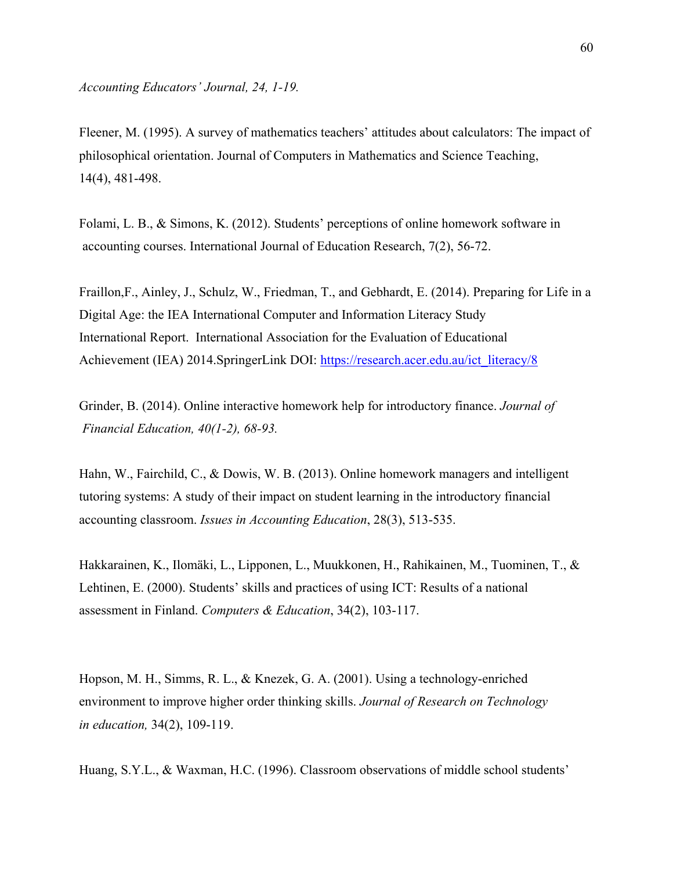Fleener, M. (1995). A survey of mathematics teachers' attitudes about calculators: The impact of philosophical orientation. Journal of Computers in Mathematics and Science Teaching, 14(4), 481-498.

Folami, L. B., & Simons, K. (2012). Students' perceptions of online homework software in accounting courses. International Journal of Education Research, 7(2), 56-72.

Fraillon,F., Ainley, J., Schulz, W., Friedman, T., and Gebhardt, E. (2014). Preparing for Life in a Digital Age: the IEA International Computer and Information Literacy Study International Report. International Association for the Evaluation of Educational Achievement (IEA) 2014.SpringerLink DOI: [https://research.acer.edu.au/ict\\_literacy/8](https://research.acer.edu.au/ict_literacy/8)

Grinder, B. (2014). Online interactive homework help for introductory finance. *Journal of Financial Education, 40(1-2), 68-93.* 

Hahn, W., Fairchild, C., & Dowis, W. B. (2013). Online homework managers and intelligent tutoring systems: A study of their impact on student learning in the introductory financial accounting classroom. *Issues in Accounting Education*, 28(3), 513-535.

Hakkarainen, K., Ilomäki, L., Lipponen, L., Muukkonen, H., Rahikainen, M., Tuominen, T., & Lehtinen, E. (2000). Students' skills and practices of using ICT: Results of a national assessment in Finland. *Computers & Education*, 34(2), 103-117.

Hopson, M. H., Simms, R. L., & Knezek, G. A. (2001). Using a technology-enriched environment to improve higher order thinking skills. *Journal of Research on Technology in education,* 34(2), 109-119.

Huang, S.Y.L., & Waxman, H.C. (1996). Classroom observations of middle school students'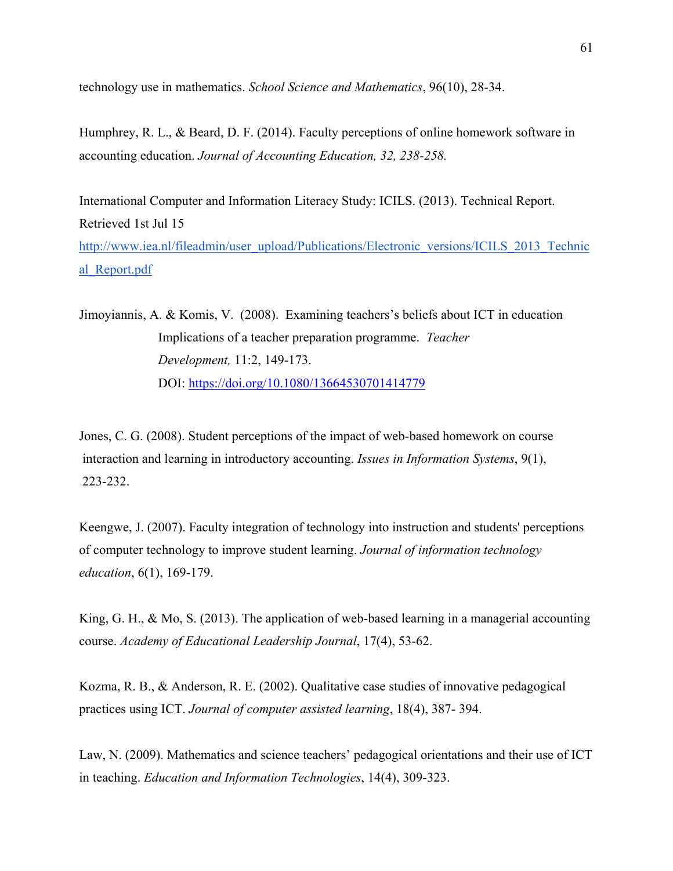technology use in mathematics. *School Science and Mathematics*, 96(10), 28-34.

Humphrey, R. L., & Beard, D. F. (2014). Faculty perceptions of online homework software in accounting education. *Journal of Accounting Education, 32, 238-258.*

International Computer and Information Literacy Study: ICILS. (2013). Technical Report. Retrieved 1st Jul 15 [http://www.iea.nl/fileadmin/user\\_upload/Publications/Electronic\\_versions/ICILS\\_2013\\_Technic](http://www.iea.nl/fileadmin/user_upload/Publications/Electronic_versions/ICILS_2013_Technical_Report.pdf) [al\\_Report.pdf](http://www.iea.nl/fileadmin/user_upload/Publications/Electronic_versions/ICILS_2013_Technical_Report.pdf)

Jimoyiannis, A. & Komis, V. (2008). Examining teachers's beliefs about ICT in education Implications of a teacher preparation programme. *Teacher Development,* 11:2, 149-173. DOI:<https://doi.org/10.1080/13664530701414779>

Jones, C. G. (2008). Student perceptions of the impact of web-based homework on course interaction and learning in introductory accounting. *Issues in Information Systems*, 9(1), 223-232.

Keengwe, J. (2007). Faculty integration of technology into instruction and students' perceptions of computer technology to improve student learning. *Journal of information technology education*, 6(1), 169-179.

King, G. H., & Mo, S. (2013). The application of web-based learning in a managerial accounting course. *Academy of Educational Leadership Journal*, 17(4), 53-62.

Kozma, R. B., & Anderson, R. E. (2002). Qualitative case studies of innovative pedagogical practices using ICT. *Journal of computer assisted learning*, 18(4), 387- 394.

Law, N. (2009). Mathematics and science teachers' pedagogical orientations and their use of ICT in teaching. *Education and Information Technologies*, 14(4), 309-323.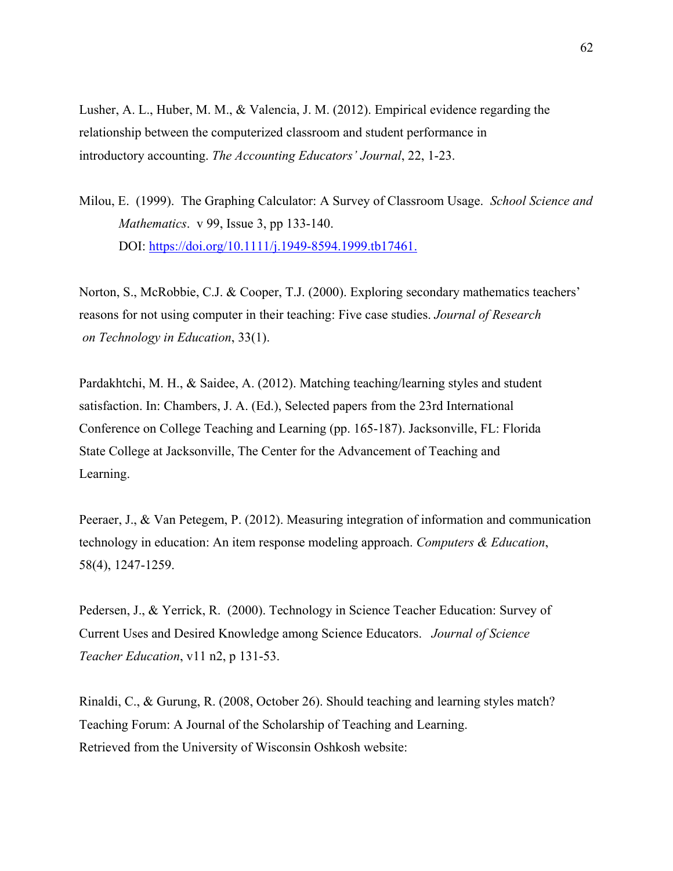Lusher, A. L., Huber, M. M., & Valencia, J. M. (2012). Empirical evidence regarding the relationship between the computerized classroom and student performance in introductory accounting. *The Accounting Educators' Journal*, 22, 1-23.

Milou, E. (1999). The Graphing Calculator: A Survey of Classroom Usage. *School Science and Mathematics*. v 99, Issue 3, pp 133-140. DOI:<https://doi.org/10.1111/j.1949-8594.1999.tb17461.>

Norton, S., McRobbie, C.J. & Cooper, T.J. (2000). Exploring secondary mathematics teachers' reasons for not using computer in their teaching: Five case studies. *Journal of Research on Technology in Education*, 33(1).

Pardakhtchi, M. H., & Saidee, A. (2012). Matching teaching/learning styles and student satisfaction. In: Chambers, J. A. (Ed.), Selected papers from the 23rd International Conference on College Teaching and Learning (pp. 165-187). Jacksonville, FL: Florida State College at Jacksonville, The Center for the Advancement of Teaching and Learning.

Peeraer, J., & Van Petegem, P. (2012). Measuring integration of information and communication technology in education: An item response modeling approach. *Computers & Education*, 58(4), 1247-1259.

Pedersen, J., & Yerrick, R. (2000). Technology in Science Teacher Education: Survey of Current Uses and Desired Knowledge among Science Educators. *Journal of Science Teacher Education*, v11 n2, p 131-53.

Rinaldi, C., & Gurung, R. (2008, October 26). Should teaching and learning styles match? Teaching Forum: A Journal of the Scholarship of Teaching and Learning. Retrieved from the University of Wisconsin Oshkosh website: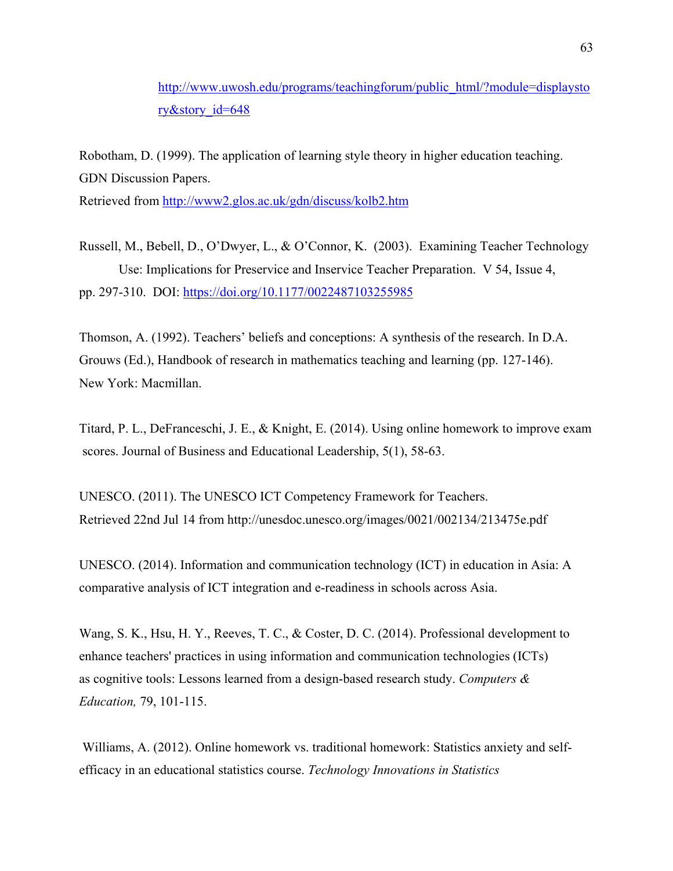[http://www.uwosh.edu/programs/teachingforum/public\\_html/?module=displaysto](http://www.uwosh.edu/programs/teachingforum/public_html/?module=displaystory&story_id=648) [ry&story\\_id=648](http://www.uwosh.edu/programs/teachingforum/public_html/?module=displaystory&story_id=648)

Robotham, D. (1999). The application of learning style theory in higher education teaching. GDN Discussion Papers. Retrieved from<http://www2.glos.ac.uk/gdn/discuss/kolb2.htm>

Russell, M., Bebell, D., O'Dwyer, L., & O'Connor, K. (2003). Examining Teacher Technology Use: Implications for Preservice and Inservice Teacher Preparation. V 54, Issue 4, pp. 297-310. DOI: [https://doi.org/10.1177/0022487103255985](https://doi.org/10.1177%2F0022487103255985)

Thomson, A. (1992). Teachers' beliefs and conceptions: A synthesis of the research. In D.A. Grouws (Ed.), Handbook of research in mathematics teaching and learning (pp. 127-146). New York: Macmillan.

Titard, P. L., DeFranceschi, J. E., & Knight, E. (2014). Using online homework to improve exam scores. Journal of Business and Educational Leadership, 5(1), 58-63.

UNESCO. (2011). The UNESCO ICT Competency Framework for Teachers. Retrieved 22nd Jul 14 from http://unesdoc.unesco.org/images/0021/002134/213475e.pdf

UNESCO. (2014). Information and communication technology (ICT) in education in Asia: A comparative analysis of ICT integration and e-readiness in schools across Asia.

Wang, S. K., Hsu, H. Y., Reeves, T. C., & Coster, D. C. (2014). Professional development to enhance teachers' practices in using information and communication technologies (ICTs) as cognitive tools: Lessons learned from a design-based research study. *Computers & Education,* 79, 101-115.

Williams, A. (2012). Online homework vs. traditional homework: Statistics anxiety and selfefficacy in an educational statistics course. *Technology Innovations in Statistics*